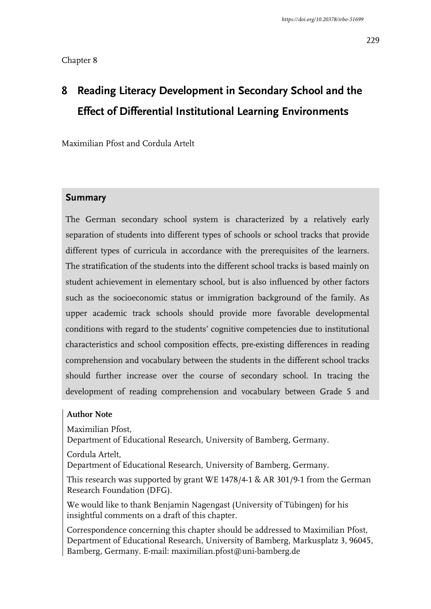# **8 Reading Literacy Development in Secondary School and the Effect of Differential Institutional Learning Environments**

Maximilian Pfost and Cordula Artelt

#### **Summary**

The German secondary school system is characterized by a relatively early separation of students into different types of schools or school tracks that provide different types of curricula in accordance with the prerequisites of the learners. The stratification of the students into the different school tracks is based mainly on student achievement in elementary school, but is also influenced by other factors such as the socioeconomic status or immigration background of the family. As upper academic track schools should provide more favorable developmental conditions with regard to the students' cognitive competencies due to institutional characteristics and school composition effects, pre-existing differences in reading comprehension and vocabulary between the students in the different school tracks should further increase over the course of secondary school. In tracing the development of reading comprehension and vocabulary between Grade 5 and

#### **Author Note**

Maximilian Pfost,

Department of Educational Research, University of Bamberg, Germany.

Cordula Artelt,

Department of Educational Research, University of Bamberg, Germany.

This research was supported by grant WE 1478/4-1 & AR 301/9-1 from the German Research Foundation (DFG).

We would like to thank Benjamin Nagengast (University of Tübingen) for his insightful comments on a draft of this chapter.

Correspondence concerning this chapter should be addressed to Maximilian Pfost, Department of Educational Research, University of Bamberg, Markusplatz 3, 96045, Bamberg, Germany. E-mail: maximilian.pfost@uni-bamberg.de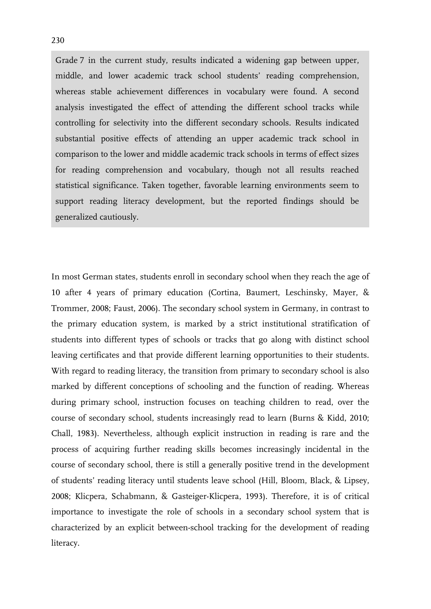Grade 7 in the current study, results indicated a widening gap between upper, middle, and lower academic track school students' reading comprehension, whereas stable achievement differences in vocabulary were found. A second analysis investigated the effect of attending the different school tracks while controlling for selectivity into the different secondary schools. Results indicated substantial positive effects of attending an upper academic track school in comparison to the lower and middle academic track schools in terms of effect sizes for reading comprehension and vocabulary, though not all results reached statistical significance. Taken together, favorable learning environments seem to support reading literacy development, but the reported findings should be generalized cautiously.

In most German states, students enroll in secondary school when they reach the age of 10 after 4 years of primary education (Cortina, Baumert, Leschinsky, Mayer, & Trommer, 2008; Faust, 2006). The secondary school system in Germany, in contrast to the primary education system, is marked by a strict institutional stratification of students into different types of schools or tracks that go along with distinct school leaving certificates and that provide different learning opportunities to their students. With regard to reading literacy, the transition from primary to secondary school is also marked by different conceptions of schooling and the function of reading. Whereas during primary school, instruction focuses on teaching children to read, over the course of secondary school, students increasingly read to learn (Burns & Kidd, 2010; Chall, 1983). Nevertheless, although explicit instruction in reading is rare and the process of acquiring further reading skills becomes increasingly incidental in the course of secondary school, there is still a generally positive trend in the development of students' reading literacy until students leave school (Hill, Bloom, Black, & Lipsey, 2008; Klicpera, Schabmann, & Gasteiger-Klicpera, 1993). Therefore, it is of critical importance to investigate the role of schools in a secondary school system that is characterized by an explicit between-school tracking for the development of reading literacy.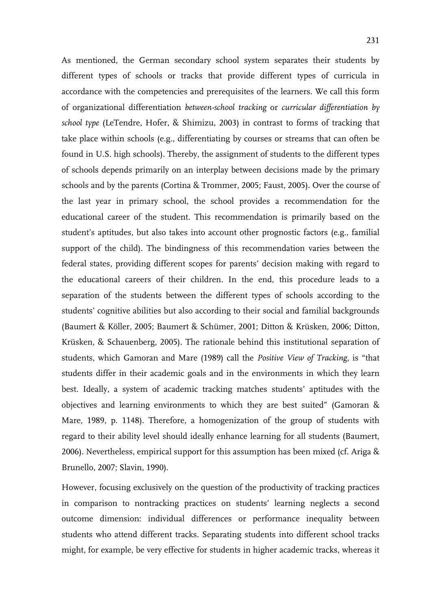As mentioned, the German secondary school system separates their students by different types of schools or tracks that provide different types of curricula in accordance with the competencies and prerequisites of the learners. We call this form of organizational differentiation *between-school tracking* or *curricular differentiation by school type* (LeTendre, Hofer, & Shimizu, 2003) in contrast to forms of tracking that take place within schools (e.g., differentiating by courses or streams that can often be found in U.S. high schools). Thereby, the assignment of students to the different types of schools depends primarily on an interplay between decisions made by the primary schools and by the parents (Cortina & Trommer, 2005; Faust, 2005). Over the course of the last year in primary school, the school provides a recommendation for the educational career of the student. This recommendation is primarily based on the student's aptitudes, but also takes into account other prognostic factors (e.g., familial support of the child). The bindingness of this recommendation varies between the federal states, providing different scopes for parents' decision making with regard to the educational careers of their children. In the end, this procedure leads to a separation of the students between the different types of schools according to the students' cognitive abilities but also according to their social and familial backgrounds (Baumert & Köller, 2005; Baumert & Schümer, 2001; Ditton & Krüsken, 2006; Ditton, Krüsken, & Schauenberg, 2005). The rationale behind this institutional separation of students, which Gamoran and Mare (1989) call the *Positive View of Tracking*, is "that students differ in their academic goals and in the environments in which they learn best. Ideally, a system of academic tracking matches students' aptitudes with the objectives and learning environments to which they are best suited" (Gamoran & Mare, 1989, p. 1148). Therefore, a homogenization of the group of students with regard to their ability level should ideally enhance learning for all students (Baumert, 2006). Nevertheless, empirical support for this assumption has been mixed (cf. Ariga & Brunello, 2007; Slavin, 1990).

However, focusing exclusively on the question of the productivity of tracking practices in comparison to nontracking practices on students' learning neglects a second outcome dimension: individual differences or performance inequality between students who attend different tracks. Separating students into different school tracks might, for example, be very effective for students in higher academic tracks, whereas it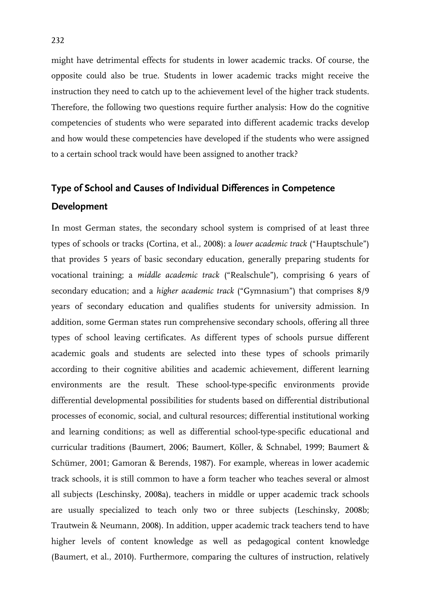might have detrimental effects for students in lower academic tracks. Of course, the opposite could also be true. Students in lower academic tracks might receive the instruction they need to catch up to the achievement level of the higher track students. Therefore, the following two questions require further analysis: How do the cognitive competencies of students who were separated into different academic tracks develop and how would these competencies have developed if the students who were assigned to a certain school track would have been assigned to another track?

### **Type of School and Causes of Individual Differences in Competence Development**

In most German states, the secondary school system is comprised of at least three types of schools or tracks (Cortina, et al., 2008): a *lower academic track* ("Hauptschule") that provides 5 years of basic secondary education, generally preparing students for vocational training; a *middle academic track* ("Realschule"), comprising 6 years of secondary education; and a *higher academic track* ("Gymnasium") that comprises 8/9 years of secondary education and qualifies students for university admission. In addition, some German states run comprehensive secondary schools, offering all three types of school leaving certificates. As different types of schools pursue different academic goals and students are selected into these types of schools primarily according to their cognitive abilities and academic achievement, different learning environments are the result. These school-type-specific environments provide differential developmental possibilities for students based on differential distributional processes of economic, social, and cultural resources; differential institutional working and learning conditions; as well as differential school-type-specific educational and curricular traditions (Baumert, 2006; Baumert, Köller, & Schnabel, 1999; Baumert & Schümer, 2001; Gamoran & Berends, 1987). For example, whereas in lower academic track schools, it is still common to have a form teacher who teaches several or almost all subjects (Leschinsky, 2008a), teachers in middle or upper academic track schools are usually specialized to teach only two or three subjects (Leschinsky, 2008b; Trautwein & Neumann, 2008). In addition, upper academic track teachers tend to have higher levels of content knowledge as well as pedagogical content knowledge (Baumert, et al., 2010). Furthermore, comparing the cultures of instruction, relatively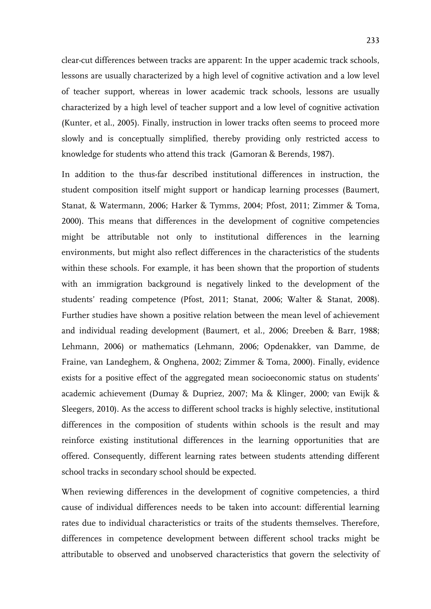clear-cut differences between tracks are apparent: In the upper academic track schools, lessons are usually characterized by a high level of cognitive activation and a low level of teacher support, whereas in lower academic track schools, lessons are usually characterized by a high level of teacher support and a low level of cognitive activation (Kunter, et al., 2005). Finally, instruction in lower tracks often seems to proceed more slowly and is conceptually simplified, thereby providing only restricted access to knowledge for students who attend this track (Gamoran & Berends, 1987).

In addition to the thus-far described institutional differences in instruction, the student composition itself might support or handicap learning processes (Baumert, Stanat, & Watermann, 2006; Harker & Tymms, 2004; Pfost, 2011; Zimmer & Toma, 2000). This means that differences in the development of cognitive competencies might be attributable not only to institutional differences in the learning environments, but might also reflect differences in the characteristics of the students within these schools. For example, it has been shown that the proportion of students with an immigration background is negatively linked to the development of the students' reading competence (Pfost, 2011; Stanat, 2006; Walter & Stanat, 2008). Further studies have shown a positive relation between the mean level of achievement and individual reading development (Baumert, et al., 2006; Dreeben & Barr, 1988; Lehmann, 2006) or mathematics (Lehmann, 2006; Opdenakker, van Damme, de Fraine, van Landeghem, & Onghena, 2002; Zimmer & Toma, 2000). Finally, evidence exists for a positive effect of the aggregated mean socioeconomic status on students' academic achievement (Dumay & Dupriez, 2007; Ma & Klinger, 2000; van Ewijk & Sleegers, 2010). As the access to different school tracks is highly selective, institutional differences in the composition of students within schools is the result and may reinforce existing institutional differences in the learning opportunities that are offered. Consequently, different learning rates between students attending different school tracks in secondary school should be expected.

When reviewing differences in the development of cognitive competencies, a third cause of individual differences needs to be taken into account: differential learning rates due to individual characteristics or traits of the students themselves. Therefore, differences in competence development between different school tracks might be attributable to observed and unobserved characteristics that govern the selectivity of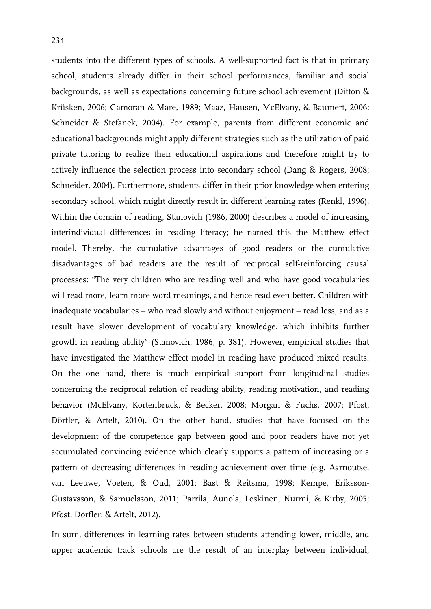students into the different types of schools. A well-supported fact is that in primary school, students already differ in their school performances, familiar and social backgrounds, as well as expectations concerning future school achievement (Ditton & Krüsken, 2006; Gamoran & Mare, 1989; Maaz, Hausen, McElvany, & Baumert, 2006; Schneider & Stefanek, 2004). For example, parents from different economic and educational backgrounds might apply different strategies such as the utilization of paid private tutoring to realize their educational aspirations and therefore might try to actively influence the selection process into secondary school (Dang & Rogers, 2008; Schneider, 2004). Furthermore, students differ in their prior knowledge when entering secondary school, which might directly result in different learning rates (Renkl, 1996). Within the domain of reading, Stanovich (1986, 2000) describes a model of increasing interindividual differences in reading literacy; he named this the Matthew effect model. Thereby, the cumulative advantages of good readers or the cumulative disadvantages of bad readers are the result of reciprocal self-reinforcing causal processes: "The very children who are reading well and who have good vocabularies will read more, learn more word meanings, and hence read even better. Children with inadequate vocabularies – who read slowly and without enjoyment – read less, and as a result have slower development of vocabulary knowledge, which inhibits further growth in reading ability" (Stanovich, 1986, p. 381). However, empirical studies that have investigated the Matthew effect model in reading have produced mixed results. On the one hand, there is much empirical support from longitudinal studies concerning the reciprocal relation of reading ability, reading motivation, and reading behavior (McElvany, Kortenbruck, & Becker, 2008; Morgan & Fuchs, 2007; Pfost, Dörfler, & Artelt, 2010). On the other hand, studies that have focused on the development of the competence gap between good and poor readers have not yet accumulated convincing evidence which clearly supports a pattern of increasing or a pattern of decreasing differences in reading achievement over time (e.g. Aarnoutse, van Leeuwe, Voeten, & Oud, 2001; Bast & Reitsma, 1998; Kempe, Eriksson-Gustavsson, & Samuelsson, 2011; Parrila, Aunola, Leskinen, Nurmi, & Kirby, 2005; Pfost, Dörfler, & Artelt, 2012).

In sum, differences in learning rates between students attending lower, middle, and upper academic track schools are the result of an interplay between individual,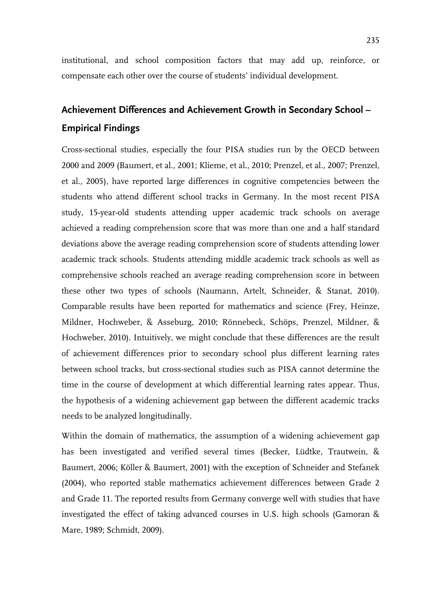institutional, and school composition factors that may add up, reinforce, or compensate each other over the course of students' individual development.

## **Achievement Differences and Achievement Growth in Secondary School – Empirical Findings**

Cross-sectional studies, especially the four PISA studies run by the OECD between 2000 and 2009 (Baumert, et al., 2001; Klieme, et al., 2010; Prenzel, et al., 2007; Prenzel, et al., 2005), have reported large differences in cognitive competencies between the students who attend different school tracks in Germany. In the most recent PISA study, 15-year-old students attending upper academic track schools on average achieved a reading comprehension score that was more than one and a half standard deviations above the average reading comprehension score of students attending lower academic track schools. Students attending middle academic track schools as well as comprehensive schools reached an average reading comprehension score in between these other two types of schools (Naumann, Artelt, Schneider, & Stanat, 2010). Comparable results have been reported for mathematics and science (Frey, Heinze, Mildner, Hochweber, & Asseburg, 2010; Rönnebeck, Schöps, Prenzel, Mildner, & Hochweber, 2010). Intuitively, we might conclude that these differences are the result of achievement differences prior to secondary school plus different learning rates between school tracks, but cross-sectional studies such as PISA cannot determine the time in the course of development at which differential learning rates appear. Thus, the hypothesis of a widening achievement gap between the different academic tracks needs to be analyzed longitudinally.

Within the domain of mathematics, the assumption of a widening achievement gap has been investigated and verified several times (Becker, Lüdtke, Trautwein, & Baumert, 2006; Köller & Baumert, 2001) with the exception of Schneider and Stefanek (2004), who reported stable mathematics achievement differences between Grade 2 and Grade 11. The reported results from Germany converge well with studies that have investigated the effect of taking advanced courses in U.S. high schools (Gamoran & Mare, 1989; Schmidt, 2009).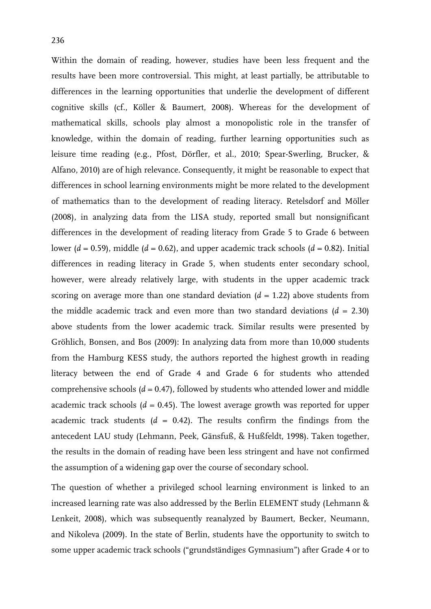Within the domain of reading, however, studies have been less frequent and the results have been more controversial. This might, at least partially, be attributable to differences in the learning opportunities that underlie the development of different cognitive skills (cf., Köller & Baumert, 2008). Whereas for the development of mathematical skills, schools play almost a monopolistic role in the transfer of knowledge, within the domain of reading, further learning opportunities such as leisure time reading (e.g., Pfost, Dörfler, et al., 2010; Spear-Swerling, Brucker, & Alfano, 2010) are of high relevance. Consequently, it might be reasonable to expect that differences in school learning environments might be more related to the development of mathematics than to the development of reading literacy. Retelsdorf and Möller (2008), in analyzing data from the LISA study, reported small but nonsignificant differences in the development of reading literacy from Grade 5 to Grade 6 between lower ( $d = 0.59$ ), middle ( $d = 0.62$ ), and upper academic track schools ( $d = 0.82$ ). Initial differences in reading literacy in Grade 5, when students enter secondary school, however, were already relatively large, with students in the upper academic track scoring on average more than one standard deviation  $(d = 1.22)$  above students from the middle academic track and even more than two standard deviations  $(d = 2.30)$ above students from the lower academic track. Similar results were presented by Gröhlich, Bonsen, and Bos (2009): In analyzing data from more than 10,000 students from the Hamburg KESS study, the authors reported the highest growth in reading literacy between the end of Grade 4 and Grade 6 for students who attended comprehensive schools  $(d = 0.47)$ , followed by students who attended lower and middle academic track schools  $(d = 0.45)$ . The lowest average growth was reported for upper academic track students  $(d = 0.42)$ . The results confirm the findings from the antecedent LAU study (Lehmann, Peek, Gänsfuß, & Hußfeldt, 1998). Taken together, the results in the domain of reading have been less stringent and have not confirmed the assumption of a widening gap over the course of secondary school.

The question of whether a privileged school learning environment is linked to an increased learning rate was also addressed by the Berlin ELEMENT study (Lehmann & Lenkeit, 2008), which was subsequently reanalyzed by Baumert, Becker, Neumann, and Nikoleva (2009). In the state of Berlin, students have the opportunity to switch to some upper academic track schools ("grundständiges Gymnasium") after Grade 4 or to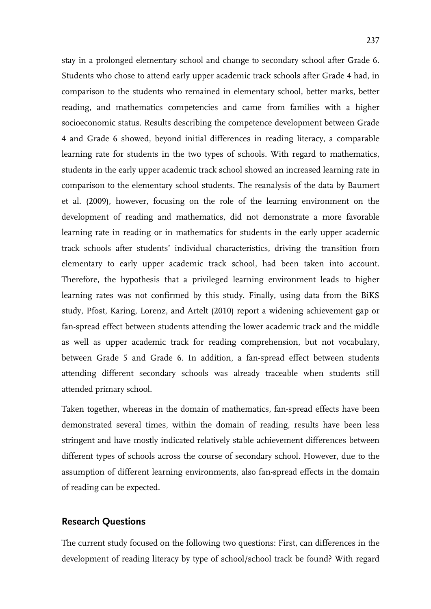stay in a prolonged elementary school and change to secondary school after Grade 6. Students who chose to attend early upper academic track schools after Grade 4 had, in comparison to the students who remained in elementary school, better marks, better reading, and mathematics competencies and came from families with a higher socioeconomic status. Results describing the competence development between Grade 4 and Grade 6 showed, beyond initial differences in reading literacy, a comparable learning rate for students in the two types of schools. With regard to mathematics, students in the early upper academic track school showed an increased learning rate in comparison to the elementary school students. The reanalysis of the data by Baumert et al. (2009), however, focusing on the role of the learning environment on the development of reading and mathematics, did not demonstrate a more favorable learning rate in reading or in mathematics for students in the early upper academic track schools after students' individual characteristics, driving the transition from elementary to early upper academic track school, had been taken into account. Therefore, the hypothesis that a privileged learning environment leads to higher learning rates was not confirmed by this study. Finally, using data from the BiKS study, Pfost, Karing, Lorenz, and Artelt (2010) report a widening achievement gap or fan-spread effect between students attending the lower academic track and the middle as well as upper academic track for reading comprehension, but not vocabulary, between Grade 5 and Grade 6. In addition, a fan-spread effect between students attending different secondary schools was already traceable when students still attended primary school.

Taken together, whereas in the domain of mathematics, fan-spread effects have been demonstrated several times, within the domain of reading, results have been less stringent and have mostly indicated relatively stable achievement differences between different types of schools across the course of secondary school. However, due to the assumption of different learning environments, also fan-spread effects in the domain of reading can be expected.

#### **Research Questions**

The current study focused on the following two questions: First, can differences in the development of reading literacy by type of school/school track be found? With regard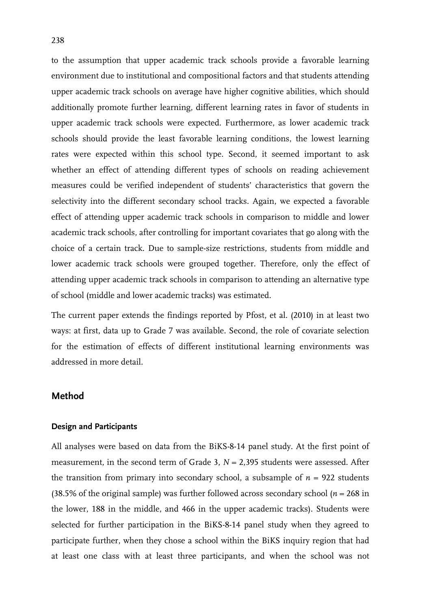to the assumption that upper academic track schools provide a favorable learning environment due to institutional and compositional factors and that students attending upper academic track schools on average have higher cognitive abilities, which should additionally promote further learning, different learning rates in favor of students in upper academic track schools were expected. Furthermore, as lower academic track schools should provide the least favorable learning conditions, the lowest learning rates were expected within this school type. Second, it seemed important to ask whether an effect of attending different types of schools on reading achievement measures could be verified independent of students' characteristics that govern the selectivity into the different secondary school tracks. Again, we expected a favorable effect of attending upper academic track schools in comparison to middle and lower academic track schools, after controlling for important covariates that go along with the choice of a certain track. Due to sample-size restrictions, students from middle and lower academic track schools were grouped together. Therefore, only the effect of attending upper academic track schools in comparison to attending an alternative type of school (middle and lower academic tracks) was estimated.

The current paper extends the findings reported by Pfost, et al. (2010) in at least two ways: at first, data up to Grade 7 was available. Second, the role of covariate selection for the estimation of effects of different institutional learning environments was addressed in more detail.

#### **Method**

#### **Design and Participants**

All analyses were based on data from the BiKS-8-14 panel study. At the first point of measurement, in the second term of Grade 3,  $N = 2,395$  students were assessed. After the transition from primary into secondary school, a subsample of  $n = 922$  students (38.5% of the original sample) was further followed across secondary school ( $n = 268$  in the lower, 188 in the middle, and 466 in the upper academic tracks). Students were selected for further participation in the BiKS-8-14 panel study when they agreed to participate further, when they chose a school within the BiKS inquiry region that had at least one class with at least three participants, and when the school was not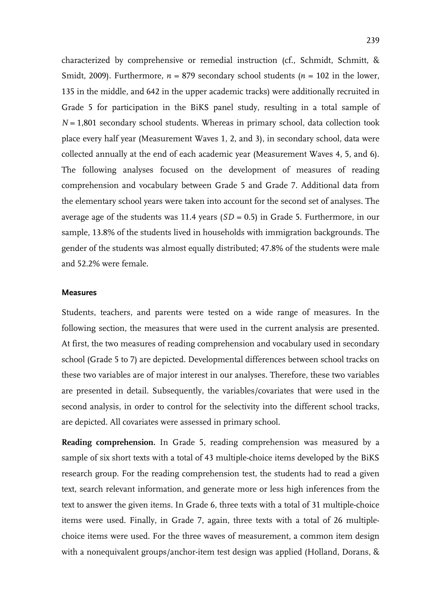characterized by comprehensive or remedial instruction (cf., Schmidt, Schmitt, & Smidt, 2009). Furthermore,  $n = 879$  secondary school students ( $n = 102$  in the lower, 135 in the middle, and 642 in the upper academic tracks) were additionally recruited in Grade 5 for participation in the BiKS panel study, resulting in a total sample of *N* = 1,801 secondary school students. Whereas in primary school, data collection took place every half year (Measurement Waves 1, 2, and 3), in secondary school, data were collected annually at the end of each academic year (Measurement Waves 4, 5, and 6). The following analyses focused on the development of measures of reading comprehension and vocabulary between Grade 5 and Grade 7. Additional data from the elementary school years were taken into account for the second set of analyses. The average age of the students was 11.4 years (*SD* = 0.5) in Grade 5. Furthermore, in our sample, 13.8% of the students lived in households with immigration backgrounds. The gender of the students was almost equally distributed; 47.8% of the students were male and 52.2% were female.

#### **Measures**

Students, teachers, and parents were tested on a wide range of measures. In the following section, the measures that were used in the current analysis are presented. At first, the two measures of reading comprehension and vocabulary used in secondary school (Grade 5 to 7) are depicted. Developmental differences between school tracks on these two variables are of major interest in our analyses. Therefore, these two variables are presented in detail. Subsequently, the variables/covariates that were used in the second analysis, in order to control for the selectivity into the different school tracks, are depicted. All covariates were assessed in primary school.

**Reading comprehension.** In Grade 5, reading comprehension was measured by a sample of six short texts with a total of 43 multiple-choice items developed by the BiKS research group. For the reading comprehension test, the students had to read a given text, search relevant information, and generate more or less high inferences from the text to answer the given items. In Grade 6, three texts with a total of 31 multiple-choice items were used. Finally, in Grade 7, again, three texts with a total of 26 multiplechoice items were used. For the three waves of measurement, a common item design with a nonequivalent groups/anchor-item test design was applied (Holland, Dorans, &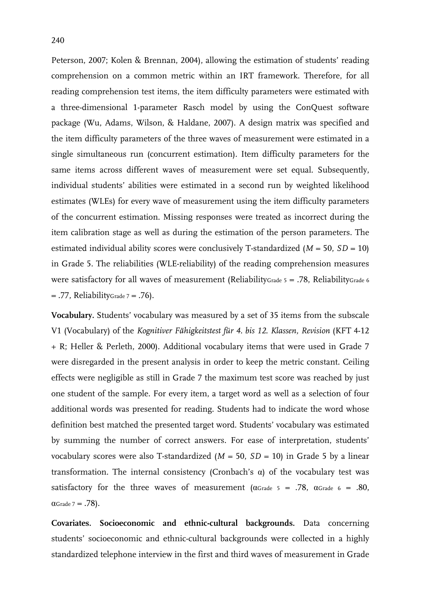Peterson, 2007; Kolen & Brennan, 2004), allowing the estimation of students' reading comprehension on a common metric within an IRT framework. Therefore, for all reading comprehension test items, the item difficulty parameters were estimated with a three-dimensional 1-parameter Rasch model by using the ConQuest software package (Wu, Adams, Wilson, & Haldane, 2007). A design matrix was specified and the item difficulty parameters of the three waves of measurement were estimated in a single simultaneous run (concurrent estimation). Item difficulty parameters for the same items across different waves of measurement were set equal. Subsequently, individual students' abilities were estimated in a second run by weighted likelihood estimates (WLEs) for every wave of measurement using the item difficulty parameters of the concurrent estimation. Missing responses were treated as incorrect during the item calibration stage as well as during the estimation of the person parameters. The estimated individual ability scores were conclusively T-standardized  $(M = 50, SD = 10)$ in Grade 5. The reliabilities (WLE-reliability) of the reading comprehension measures were satisfactory for all waves of measurement (ReliabilityGrade  $5 = .78$ , ReliabilityGrade 6  $= .77$ , ReliabilityGrade  $7 = .76$ ).

**Vocabulary.** Students' vocabulary was measured by a set of 35 items from the subscale V1 (Vocabulary) of the *Kognitiver Fähigkeitstest für 4. bis 12. Klassen, Revision* (KFT 4-12 + R; Heller & Perleth, 2000). Additional vocabulary items that were used in Grade 7 were disregarded in the present analysis in order to keep the metric constant. Ceiling effects were negligible as still in Grade 7 the maximum test score was reached by just one student of the sample. For every item, a target word as well as a selection of four additional words was presented for reading. Students had to indicate the word whose definition best matched the presented target word. Students' vocabulary was estimated by summing the number of correct answers. For ease of interpretation, students' vocabulary scores were also T-standardized  $(M = 50, SD = 10)$  in Grade 5 by a linear transformation. The internal consistency (Cronbach's α) of the vocabulary test was satisfactory for the three waves of measurement ( $\alpha$ Grade 5 = .78,  $\alpha$ Grade 6 = .80,  $\alpha$ Grade 7 = .78).

**Covariates. Socioeconomic and ethnic-cultural backgrounds.** Data concerning students' socioeconomic and ethnic-cultural backgrounds were collected in a highly standardized telephone interview in the first and third waves of measurement in Grade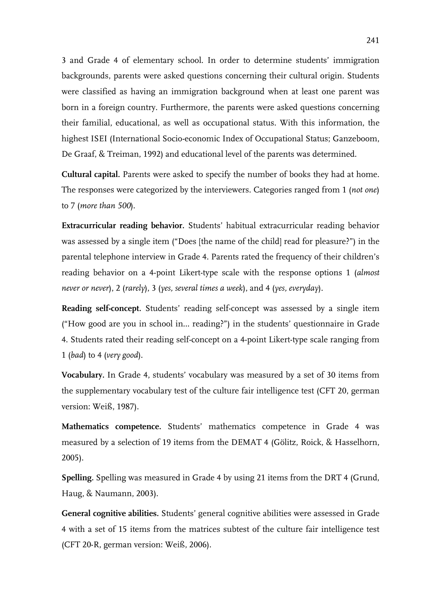3 and Grade 4 of elementary school. In order to determine students' immigration backgrounds, parents were asked questions concerning their cultural origin. Students were classified as having an immigration background when at least one parent was born in a foreign country. Furthermore, the parents were asked questions concerning their familial, educational, as well as occupational status. With this information, the highest ISEI (International Socio-economic Index of Occupational Status; Ganzeboom, De Graaf, & Treiman, 1992) and educational level of the parents was determined.

**Cultural capital.** Parents were asked to specify the number of books they had at home. The responses were categorized by the interviewers. Categories ranged from 1 (*not one*) to 7 (*more than 500*).

**Extracurricular reading behavior.** Students' habitual extracurricular reading behavior was assessed by a single item ("Does [the name of the child] read for pleasure?") in the parental telephone interview in Grade 4. Parents rated the frequency of their children's reading behavior on a 4-point Likert-type scale with the response options 1 (*almost never or never*), 2 (*rarely*), 3 (*yes, several times a week*), and 4 (*yes, everyday*).

**Reading self-concept.** Students' reading self-concept was assessed by a single item ("How good are you in school in… reading?") in the students' questionnaire in Grade 4. Students rated their reading self-concept on a 4-point Likert-type scale ranging from 1 (*bad*) to 4 (*very good*).

**Vocabulary.** In Grade 4, students' vocabulary was measured by a set of 30 items from the supplementary vocabulary test of the culture fair intelligence test (CFT 20, german version: Weiß, 1987).

**Mathematics competence.** Students' mathematics competence in Grade 4 was measured by a selection of 19 items from the DEMAT 4 (Gölitz, Roick, & Hasselhorn, 2005).

**Spelling.** Spelling was measured in Grade 4 by using 21 items from the DRT 4 (Grund, Haug, & Naumann, 2003).

**General cognitive abilities.** Students' general cognitive abilities were assessed in Grade 4 with a set of 15 items from the matrices subtest of the culture fair intelligence test (CFT 20-R, german version: Weiß, 2006).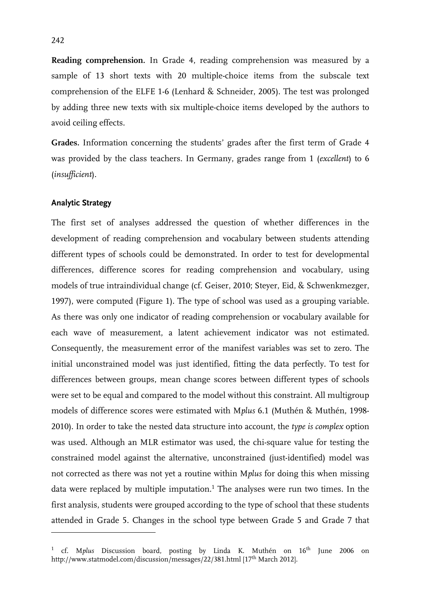**Reading comprehension.** In Grade 4, reading comprehension was measured by a sample of 13 short texts with 20 multiple-choice items from the subscale text comprehension of the ELFE 1-6 (Lenhard & Schneider, 2005). The test was prolonged by adding three new texts with six multiple-choice items developed by the authors to avoid ceiling effects.

**Grades.** Information concerning the students' grades after the first term of Grade 4 was provided by the class teachers. In Germany, grades range from 1 (*excellent*) to 6 (*insufficient*).

#### **Analytic Strategy**

-

The first set of analyses addressed the question of whether differences in the development of reading comprehension and vocabulary between students attending different types of schools could be demonstrated. In order to test for developmental differences, difference scores for reading comprehension and vocabulary, using models of true intraindividual change (cf. Geiser, 2010; Steyer, Eid, & Schwenkmezger, 1997), were computed (Figure 1). The type of school was used as a grouping variable. As there was only one indicator of reading comprehension or vocabulary available for each wave of measurement, a latent achievement indicator was not estimated. Consequently, the measurement error of the manifest variables was set to zero. The initial unconstrained model was just identified, fitting the data perfectly. To test for differences between groups, mean change scores between different types of schools were set to be equal and compared to the model without this constraint. All multigroup models of difference scores were estimated with M*plus* 6.1 (Muthén & Muthén, 1998- 2010). In order to take the nested data structure into account, the *type is complex* option was used. Although an MLR estimator was used, the chi-square value for testing the constrained model against the alternative, unconstrained (just-identified) model was not corrected as there was not yet a routine within M*plus* for doing this when missing data were replaced by multiple imputation.<sup>1</sup> The analyses were run two times. In the first analysis, students were grouped according to the type of school that these students attended in Grade 5. Changes in the school type between Grade 5 and Grade 7 that

<sup>&</sup>lt;sup>1</sup> cf. Mplus Discussion board, posting by Linda K. Muthén on 16<sup>th</sup> June 2006 on http://www.statmodel.com/discussion/messages/22/381.html [17<sup>th</sup> March 2012].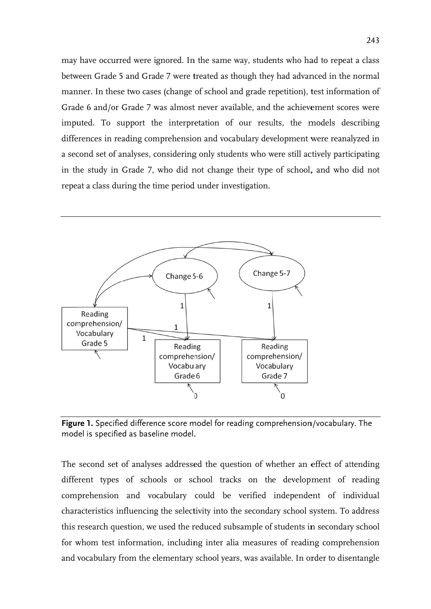may have occurred were ignored. In the same way, students who had to repeat a class between Grade 5 and Grade 7 were treated as though they had advanced in the normal manner. In these two cases (change of school and grade repetition), test information of Grade 6 and/or Grade 7 was almost never available, and the achievement scores were imputed. To support the interpretation of our results, the models describing differences in reading comprehension and vocabulary development were reanalyzed in a second set of analyses, considering only students who were still actively participating in the study in Grade 7, who did not change their type of school, and who did not repeat a class during the time period under investigation.



**Figure 1.** Specified difference score model for reading comprehension/vocabulary. The mod el is specifi fied as base line model. .

The second set of analyses addressed the question of whether an effect of attending different types of schools or school tracks on the development of reading comprehension and vocabulary could be verified independent of individual characteristics influencing the selectivity into the secondary school system. To address this research question, we used the reduced subsample of students in secondary school for whom test information, including inter alia measures of reading comprehension and vocabulary from the elementary school years, was available. In order to disentangle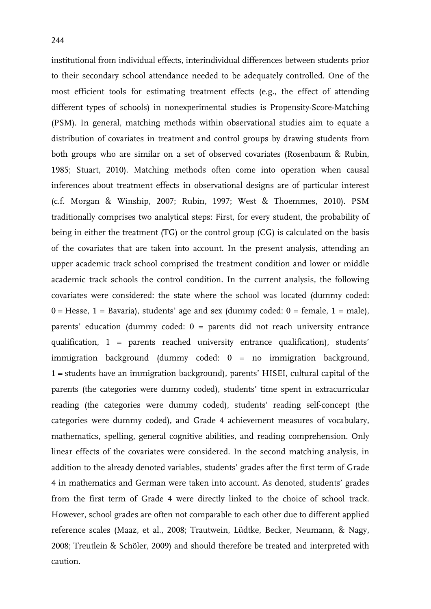institutional from individual effects, interindividual differences between students prior to their secondary school attendance needed to be adequately controlled. One of the most efficient tools for estimating treatment effects (e.g., the effect of attending different types of schools) in nonexperimental studies is Propensity-Score-Matching (PSM). In general, matching methods within observational studies aim to equate a distribution of covariates in treatment and control groups by drawing students from both groups who are similar on a set of observed covariates (Rosenbaum & Rubin, 1985; Stuart, 2010). Matching methods often come into operation when causal inferences about treatment effects in observational designs are of particular interest (c.f. Morgan & Winship, 2007; Rubin, 1997; West & Thoemmes, 2010). PSM traditionally comprises two analytical steps: First, for every student, the probability of being in either the treatment (TG) or the control group (CG) is calculated on the basis of the covariates that are taken into account. In the present analysis, attending an upper academic track school comprised the treatment condition and lower or middle academic track schools the control condition. In the current analysis, the following covariates were considered: the state where the school was located (dummy coded:  $0 =$  Hesse,  $1 =$  Bavaria), students' age and sex (dummy coded:  $0 =$  female,  $1 =$  male), parents' education (dummy coded: 0 = parents did not reach university entrance qualification, 1 = parents reached university entrance qualification), students' immigration background (dummy coded: 0 = no immigration background, 1 = students have an immigration background), parents' HISEI, cultural capital of the parents (the categories were dummy coded), students' time spent in extracurricular reading (the categories were dummy coded), students' reading self-concept (the categories were dummy coded), and Grade 4 achievement measures of vocabulary, mathematics, spelling, general cognitive abilities, and reading comprehension. Only linear effects of the covariates were considered. In the second matching analysis, in addition to the already denoted variables, students' grades after the first term of Grade 4 in mathematics and German were taken into account. As denoted, students' grades from the first term of Grade 4 were directly linked to the choice of school track. However, school grades are often not comparable to each other due to different applied reference scales (Maaz, et al., 2008; Trautwein, Lüdtke, Becker, Neumann, & Nagy, 2008; Treutlein & Schöler, 2009) and should therefore be treated and interpreted with caution.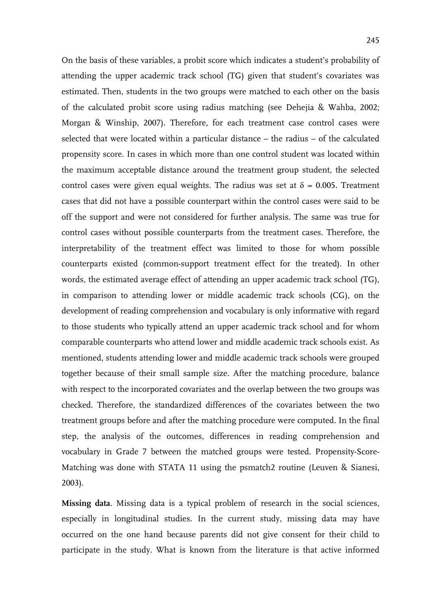On the basis of these variables, a probit score which indicates a student's probability of attending the upper academic track school (TG) given that student's covariates was estimated. Then, students in the two groups were matched to each other on the basis of the calculated probit score using radius matching (see Dehejia & Wahba, 2002; Morgan & Winship, 2007). Therefore, for each treatment case control cases were selected that were located within a particular distance – the radius – of the calculated propensity score. In cases in which more than one control student was located within the maximum acceptable distance around the treatment group student, the selected control cases were given equal weights. The radius was set at  $\delta = 0.005$ . Treatment cases that did not have a possible counterpart within the control cases were said to be off the support and were not considered for further analysis. The same was true for control cases without possible counterparts from the treatment cases. Therefore, the interpretability of the treatment effect was limited to those for whom possible counterparts existed (common-support treatment effect for the treated). In other words, the estimated average effect of attending an upper academic track school (TG), in comparison to attending lower or middle academic track schools (CG), on the development of reading comprehension and vocabulary is only informative with regard to those students who typically attend an upper academic track school and for whom comparable counterparts who attend lower and middle academic track schools exist. As mentioned, students attending lower and middle academic track schools were grouped together because of their small sample size. After the matching procedure, balance with respect to the incorporated covariates and the overlap between the two groups was checked. Therefore, the standardized differences of the covariates between the two treatment groups before and after the matching procedure were computed. In the final step, the analysis of the outcomes, differences in reading comprehension and vocabulary in Grade 7 between the matched groups were tested. Propensity-Score-Matching was done with STATA 11 using the psmatch2 routine (Leuven & Sianesi, 2003).

**Missing data**. Missing data is a typical problem of research in the social sciences, especially in longitudinal studies. In the current study, missing data may have occurred on the one hand because parents did not give consent for their child to participate in the study. What is known from the literature is that active informed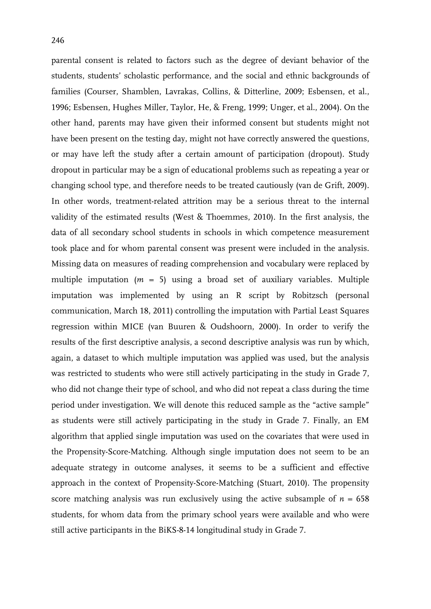parental consent is related to factors such as the degree of deviant behavior of the students, students' scholastic performance, and the social and ethnic backgrounds of families (Courser, Shamblen, Lavrakas, Collins, & Ditterline, 2009; Esbensen, et al., 1996; Esbensen, Hughes Miller, Taylor, He, & Freng, 1999; Unger, et al., 2004). On the other hand, parents may have given their informed consent but students might not have been present on the testing day, might not have correctly answered the questions, or may have left the study after a certain amount of participation (dropout). Study dropout in particular may be a sign of educational problems such as repeating a year or changing school type, and therefore needs to be treated cautiously (van de Grift, 2009). In other words, treatment-related attrition may be a serious threat to the internal validity of the estimated results (West & Thoemmes, 2010). In the first analysis, the data of all secondary school students in schools in which competence measurement took place and for whom parental consent was present were included in the analysis. Missing data on measures of reading comprehension and vocabulary were replaced by multiple imputation (*m* = 5) using a broad set of auxiliary variables. Multiple imputation was implemented by using an R script by Robitzsch (personal communication, March 18, 2011) controlling the imputation with Partial Least Squares regression within MICE (van Buuren & Oudshoorn, 2000). In order to verify the results of the first descriptive analysis, a second descriptive analysis was run by which, again, a dataset to which multiple imputation was applied was used, but the analysis was restricted to students who were still actively participating in the study in Grade 7, who did not change their type of school, and who did not repeat a class during the time period under investigation. We will denote this reduced sample as the "active sample" as students were still actively participating in the study in Grade 7. Finally, an EM algorithm that applied single imputation was used on the covariates that were used in the Propensity-Score-Matching. Although single imputation does not seem to be an adequate strategy in outcome analyses, it seems to be a sufficient and effective approach in the context of Propensity-Score-Matching (Stuart, 2010). The propensity score matching analysis was run exclusively using the active subsample of  $n = 658$ students, for whom data from the primary school years were available and who were still active participants in the BiKS-8-14 longitudinal study in Grade 7.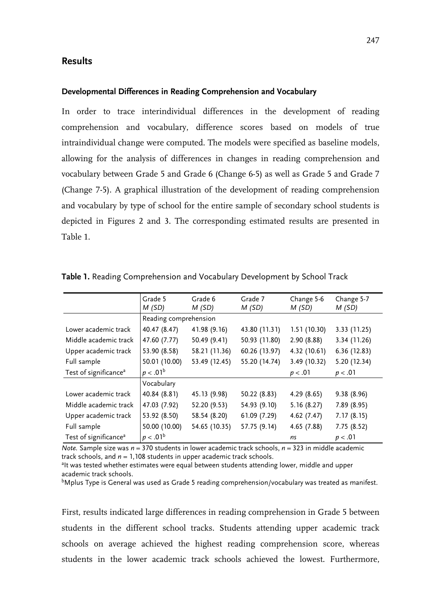#### **Results**

#### **Developmental Differences in Reading Comprehension and Vocabulary**

In order to trace interindividual differences in the development of reading comprehension and vocabulary, difference scores based on models of true intraindividual change were computed. The models were specified as baseline models, allowing for the analysis of differences in changes in reading comprehension and vocabulary between Grade 5 and Grade 6 (Change 6-5) as well as Grade 5 and Grade 7 (Change 7-5). A graphical illustration of the development of reading comprehension and vocabulary by type of school for the entire sample of secondary school students is depicted in Figures 2 and 3. The corresponding estimated results are presented in Table 1.

|                                   | Grade 5<br>M(SD)      | Grade 6<br>M(SD) | Grade 7<br>M(SD) | Change 5-6<br>M(SD) | Change 5-7<br>M(SD) |
|-----------------------------------|-----------------------|------------------|------------------|---------------------|---------------------|
|                                   | Reading comprehension |                  |                  |                     |                     |
| Lower academic track              | 40.47 (8.47)          | 41.98 (9.16)     | 43.80 (11.31)    | 1.51(10.30)         | 3.33 (11.25)        |
| Middle academic track             | 47.60 (7.77)          | 50.49 (9.41)     | 50.93 (11.80)    | 2.90 (8.88)         | 3.34 (11.26)        |
| Upper academic track              | 53.90 (8.58)          | 58.21 (11.36)    | 60.26 (13.97)    | 4.32 (10.61)        | 6.36(12.83)         |
| Full sample                       | 50.01 (10.00)         | 53.49 (12.45)    | 55.20 (14.74)    | 3.49 (10.32)        | 5.20 (12.34)        |
| Test of significance <sup>a</sup> | $p < .01^b$           |                  |                  | p < .01             | p < .01             |
|                                   | Vocabulary            |                  |                  |                     |                     |
| Lower academic track              | 40.84 (8.81)          | 45.13 (9.98)     | 50.22 (8.83)     | 4.29(8.65)          | 9.38 (8.96)         |
| Middle academic track             | 47.03 (7.92)          | 52.20 (9.53)     | 54.93 (9.10)     | 5.16(8.27)          | 7.89 (8.95)         |
| Upper academic track              | 53.92 (8.50)          | 58.54 (8.20)     | 61.09 (7.29)     | 4.62(7.47)          | 7.17(8.15)          |
| Full sample                       | 50.00 (10.00)         | 54.65 (10.35)    | 57.75 (9.14)     | 4.65 (7.88)         | 7.75(8.52)          |
| Test of significance <sup>a</sup> | $p < .01^b$           |                  |                  | ns                  | p < .01             |

**Table 1.** Reading Comprehension and Vocabulary Development by School Track

*Note.* Sample size was *n* = 370 students in lower academic track schools, *n* = 323 in middle academic track schools, and  $n = 1,108$  students in upper academic track schools.

<sup>a</sup>lt was tested whether estimates were equal between students attending lower, middle and upper academic track schools.

bMplus Type is General was used as Grade 5 reading comprehension/vocabulary was treated as manifest.

First, results indicated large differences in reading comprehension in Grade 5 between students in the different school tracks. Students attending upper academic track schools on average achieved the highest reading comprehension score, whereas students in the lower academic track schools achieved the lowest. Furthermore,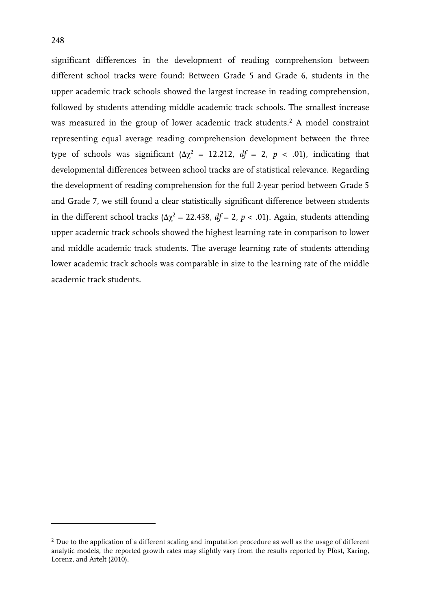-

significant differences in the development of reading comprehension between different school tracks were found: Between Grade 5 and Grade 6, students in the upper academic track schools showed the largest increase in reading comprehension, followed by students attending middle academic track schools. The smallest increase was measured in the group of lower academic track students.<sup>2</sup> A model constraint representing equal average reading comprehension development between the three type of schools was significant ( $\Delta \chi^2$  = 12.212,  $df = 2$ ,  $p < .01$ ), indicating that developmental differences between school tracks are of statistical relevance. Regarding the development of reading comprehension for the full 2-year period between Grade 5 and Grade 7, we still found a clear statistically significant difference between students in the different school tracks ( $\Delta \chi^2 = 22.458$ ,  $df = 2$ ,  $p < .01$ ). Again, students attending upper academic track schools showed the highest learning rate in comparison to lower and middle academic track students. The average learning rate of students attending lower academic track schools was comparable in size to the learning rate of the middle academic track students.

<sup>&</sup>lt;sup>2</sup> Due to the application of a different scaling and imputation procedure as well as the usage of different analytic models, the reported growth rates may slightly vary from the results reported by Pfost, Karing, Lorenz, and Artelt (2010).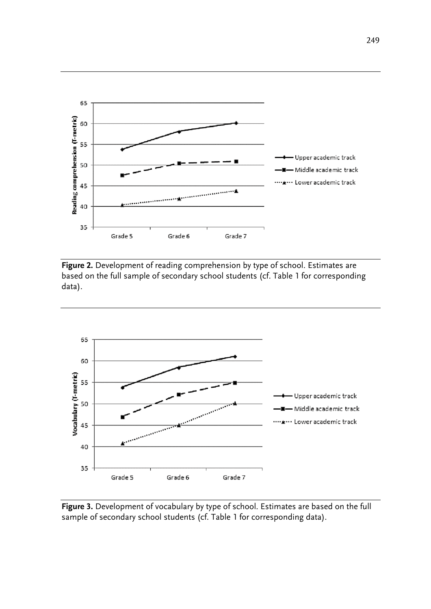

**Figure 2.** Development of reading comprehension by type of school. Estimates are based on the full sample of secondary school students (cf. Table 1 for corresponding data).



**Figure 3.** Development of vocabulary by type of school. Estimates are based on the full sample of secondary school students (cf. Table 1 for corresponding data).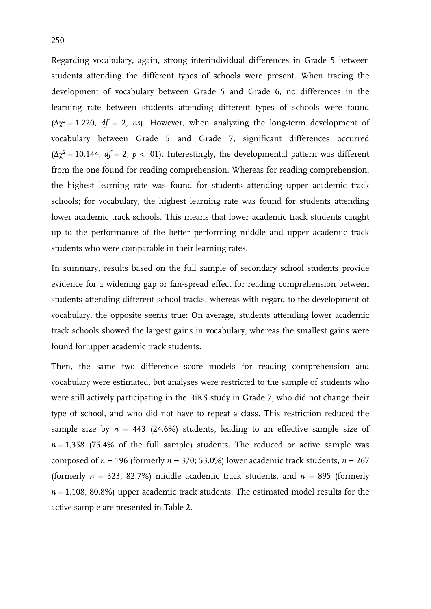Regarding vocabulary, again, strong interindividual differences in Grade 5 between students attending the different types of schools were present. When tracing the development of vocabulary between Grade 5 and Grade 6, no differences in the learning rate between students attending different types of schools were found  $(\Delta \chi^2 = 1.220, df = 2, ns)$ . However, when analyzing the long-term development of vocabulary between Grade 5 and Grade 7, significant differences occurred  $(\Delta \chi^2 = 10.144, df = 2, p < .01)$ . Interestingly, the developmental pattern was different from the one found for reading comprehension. Whereas for reading comprehension, the highest learning rate was found for students attending upper academic track schools; for vocabulary, the highest learning rate was found for students attending lower academic track schools. This means that lower academic track students caught up to the performance of the better performing middle and upper academic track students who were comparable in their learning rates.

In summary, results based on the full sample of secondary school students provide evidence for a widening gap or fan-spread effect for reading comprehension between students attending different school tracks, whereas with regard to the development of vocabulary, the opposite seems true: On average, students attending lower academic track schools showed the largest gains in vocabulary, whereas the smallest gains were found for upper academic track students.

Then, the same two difference score models for reading comprehension and vocabulary were estimated, but analyses were restricted to the sample of students who were still actively participating in the BiKS study in Grade 7, who did not change their type of school, and who did not have to repeat a class. This restriction reduced the sample size by  $n = 443$  (24.6%) students, leading to an effective sample size of  $n = 1,358$  (75.4% of the full sample) students. The reduced or active sample was composed of  $n = 196$  (formerly  $n = 370$ ; 53.0%) lower academic track students,  $n = 267$ (formerly  $n = 323$ ; 82.7%) middle academic track students, and  $n = 895$  (formerly  $n = 1,108, 80.8\%$ ) upper academic track students. The estimated model results for the active sample are presented in Table 2.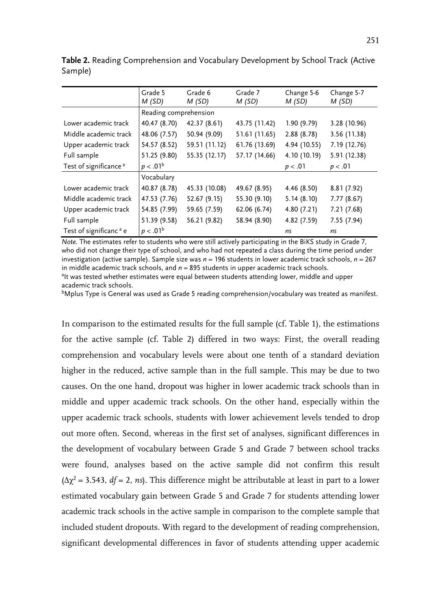|                                    | Grade 5<br>M(SD)      | Grade 6<br>Grade 7<br>M(SD)<br>M(SD) |               | Change 5-6<br>M(SD) | Change 5-7<br>M(SD) |  |
|------------------------------------|-----------------------|--------------------------------------|---------------|---------------------|---------------------|--|
|                                    | Reading comprehension |                                      |               |                     |                     |  |
| Lower academic track               | 40.47 (8.70)          | 42.37 (8.61)                         | 43.75 (11.42) | 1.90(9.79)          | 3.28 (10.96)        |  |
| Middle academic track              | 48.06 (7.57)          | 50.94 (9.09)                         | 51.61 (11.65) | 2.88(8.78)          | 3.56 (11.38)        |  |
| Upper academic track               | 54.57 (8.52)          | 59.51 (11.12)                        | 61.76 (13.69) | 4.94 (10.55)        | 7.19 (12.76)        |  |
| Full sample                        | 51.25 (9.80)          | 55.35 (12.17)                        | 57.17 (14.66) | 4.10 (10.19)        | 5.91 (12.38)        |  |
| Test of significance <sup>a</sup>  | $p < .01^b$           |                                      |               | p < .01             | p < .01             |  |
|                                    | Vocabulary            |                                      |               |                     |                     |  |
| Lower academic track               | 40.87 (8.78)          | 45.33 (10.08)                        | 49.67 (8.95)  | 4.46 (8.50)         | 8.81 (7.92)         |  |
| Middle academic track              | 47.53 (7.76)          | 52.67 (9.15)                         | 55.30 (9.10)  | 5.14(8.10)          | 7.77(8.67)          |  |
| Upper academic track               | 54.85 (7.99)          | 59.65 (7.59)                         | 62.06 (6.74)  | 4.80 (7.21)         | 7.21(7.68)          |  |
| Full sample                        | 51.39 (9.58)          | 56.21 (9.82)                         | 58.94 (8.90)  | 4.82 (7.59)         | 7.55(7.94)          |  |
| Test of significanc <sup>a</sup> e | $p < .01^b$           |                                      |               | ns                  | ns                  |  |

**Table 2.** Reading Comprehension and Vocabulary Development by School Track (Active Sample)

*Note.* The estimates refer to students who were still actively participating in the BiKS study in Grade 7, who did not change their type of school, and who had not repeated a class during the time period under investigation (active sample). Sample size was *n* = 196 students in lower academic track schools, *n* = 267 in middle academic track schools, and  $n = 895$  students in upper academic track schools. <sup>a</sup>lt was tested whether estimates were equal between students attending lower, middle and upper

academic track schools.

 $b$ Mplus Type is General was used as Grade 5 reading comprehension/vocabulary was treated as manifest.

In comparison to the estimated results for the full sample (cf. Table 1), the estimations for the active sample (cf. Table 2) differed in two ways: First, the overall reading comprehension and vocabulary levels were about one tenth of a standard deviation higher in the reduced, active sample than in the full sample. This may be due to two causes. On the one hand, dropout was higher in lower academic track schools than in middle and upper academic track schools. On the other hand, especially within the upper academic track schools, students with lower achievement levels tended to drop out more often. Second, whereas in the first set of analyses, significant differences in the development of vocabulary between Grade 5 and Grade 7 between school tracks were found, analyses based on the active sample did not confirm this result  $(\Delta \chi^2 = 3.543, df = 2, ns)$ . This difference might be attributable at least in part to a lower estimated vocabulary gain between Grade 5 and Grade 7 for students attending lower academic track schools in the active sample in comparison to the complete sample that included student dropouts. With regard to the development of reading comprehension, significant developmental differences in favor of students attending upper academic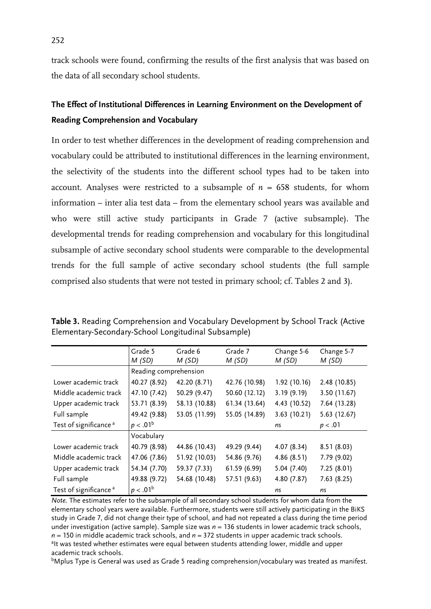track schools were found, confirming the results of the first analysis that was based on the data of all secondary school students.

### **The Effect of Institutional Differences in Learning Environment on the Development of Reading Comprehension and Vocabulary**

In order to test whether differences in the development of reading comprehension and vocabulary could be attributed to institutional differences in the learning environment, the selectivity of the students into the different school types had to be taken into account. Analyses were restricted to a subsample of  $n = 658$  students, for whom information – inter alia test data – from the elementary school years was available and who were still active study participants in Grade 7 (active subsample). The developmental trends for reading comprehension and vocabulary for this longitudinal subsample of active secondary school students were comparable to the developmental trends for the full sample of active secondary school students (the full sample comprised also students that were not tested in primary school; cf. Tables 2 and 3).

|                                   | Grade 5<br>M(SD)      | Grade 6<br>M(SD) | Grade 7<br>M(SD) | Change 5-6<br>M(SD) | Change 5-7<br>M(SD) |
|-----------------------------------|-----------------------|------------------|------------------|---------------------|---------------------|
|                                   | Reading comprehension |                  |                  |                     |                     |
| Lower academic track              | 40.27 (8.92)          | 42.20 (8.71)     | 42.76 (10.98)    | 1.92(10.16)         | 2.48 (10.85)        |
| Middle academic track             | 47.10 (7.42)          | 50.29 (9.47)     | 50.60 (12.12)    | 3.19(9.19)          | 3.50 (11.67)        |
| Upper academic track              | 53.71 (8.39)          | 58.13 (10.88)    | 61.34 (13.64)    | 4.43 (10.52)        | 7.64 (13.28)        |
| Full sample                       | 49.42 (9.88)          | 53.05 (11.99)    | 55.05 (14.89)    | 3.63(10.21)         | 5.63 (12.67)        |
| Test of significance <sup>a</sup> | $p < .01^b$           |                  |                  | ns                  | p < .01             |
|                                   | Vocabulary            |                  |                  |                     |                     |
| Lower academic track              | 40.79 (8.98)          | 44.86 (10.43)    | 49.29 (9.44)     | 4.07(8.34)          | 8.51(8.03)          |
| Middle academic track             | 47.06 (7.86)          | 51.92 (10.03)    | 54.86 (9.76)     | 4.86(8.51)          | 7.79 (9.02)         |
| Upper academic track              | 54.34 (7.70)          | 59.37 (7.33)     | 61.59 (6.99)     | 5.04(7.40)          | 7.25(8.01)          |
| Full sample                       | 49.88 (9.72)          | 54.68 (10.48)    | 57.51 (9.63)     | 4.80 (7.87)         | 7.63(8.25)          |
| Test of significance <sup>a</sup> | $p < .01^b$           |                  |                  | ns                  | ns                  |

**Table 3.** Reading Comprehension and Vocabulary Development by School Track (Active Elementary-Secondary-School Longitudinal Subsample)

*Note.* The estimates refer to the subsample of all secondary school students for whom data from the elementary school years were available. Furthermore, students were still actively participating in the BiKS study in Grade 7, did not change their type of school, and had not repeated a class during the time period under investigation (active sample). Sample size was *n* = 136 students in lower academic track schools,  $n = 150$  in middle academic track schools, and  $n = 372$  students in upper academic track schools. <sup>a</sup>lt was tested whether estimates were equal between students attending lower, middle and upper academic track schools.

bMplus Type is General was used as Grade 5 reading comprehension/vocabulary was treated as manifest.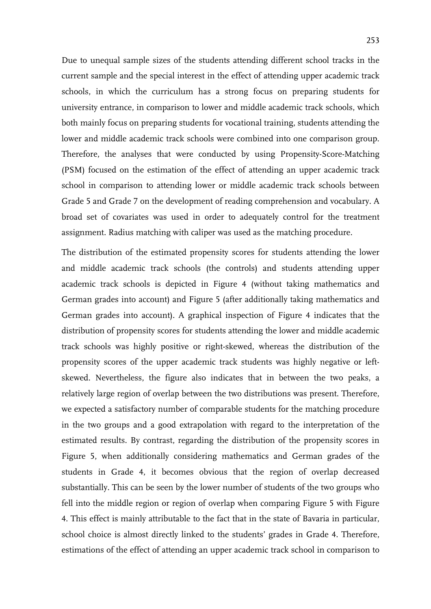Due to unequal sample sizes of the students attending different school tracks in the current sample and the special interest in the effect of attending upper academic track schools, in which the curriculum has a strong focus on preparing students for university entrance, in comparison to lower and middle academic track schools, which both mainly focus on preparing students for vocational training, students attending the lower and middle academic track schools were combined into one comparison group. Therefore, the analyses that were conducted by using Propensity-Score-Matching (PSM) focused on the estimation of the effect of attending an upper academic track school in comparison to attending lower or middle academic track schools between Grade 5 and Grade 7 on the development of reading comprehension and vocabulary. A broad set of covariates was used in order to adequately control for the treatment assignment. Radius matching with caliper was used as the matching procedure.

The distribution of the estimated propensity scores for students attending the lower and middle academic track schools (the controls) and students attending upper academic track schools is depicted in Figure 4 (without taking mathematics and German grades into account) and Figure 5 (after additionally taking mathematics and German grades into account). A graphical inspection of Figure 4 indicates that the distribution of propensity scores for students attending the lower and middle academic track schools was highly positive or right-skewed, whereas the distribution of the propensity scores of the upper academic track students was highly negative or leftskewed. Nevertheless, the figure also indicates that in between the two peaks, a relatively large region of overlap between the two distributions was present. Therefore, we expected a satisfactory number of comparable students for the matching procedure in the two groups and a good extrapolation with regard to the interpretation of the estimated results. By contrast, regarding the distribution of the propensity scores in Figure 5, when additionally considering mathematics and German grades of the students in Grade 4, it becomes obvious that the region of overlap decreased substantially. This can be seen by the lower number of students of the two groups who fell into the middle region or region of overlap when comparing Figure 5 with Figure 4. This effect is mainly attributable to the fact that in the state of Bavaria in particular, school choice is almost directly linked to the students' grades in Grade 4. Therefore, estimations of the effect of attending an upper academic track school in comparison to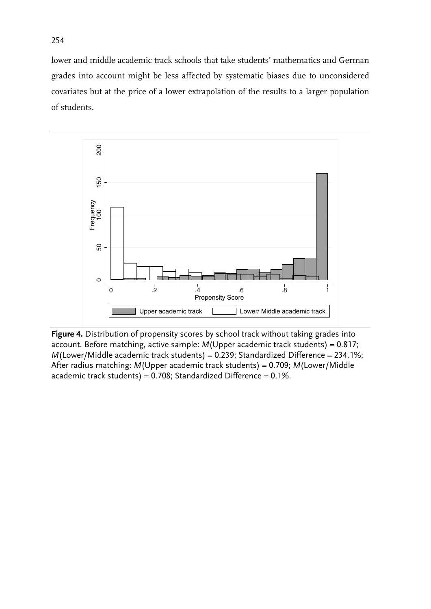lower and middle academic track schools that take students' mathematics and German grades into account might be less affected by systematic biases due to unconsidered covariates but at the price of a lower extrapolation of the results to a larger population of students.



**Figure 4.** Distribution of propensity scores by school track without taking grades into account. Before matching, active sample: *M*(Upper academic track students) = 0.817; *M*(Lower/Middle academic track students) = 0.239; Standardized Difference = 234.1%; After radius matching: *M*(Upper academic track students) = 0.709; *M*(Lower/Middle academic track students) =  $0.708$ ; Standardized Difference =  $0.1\%$ .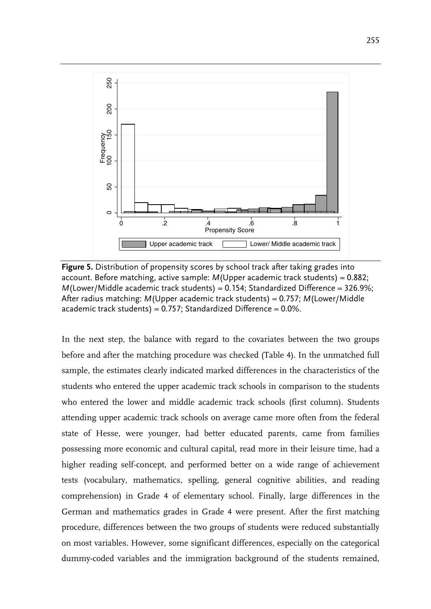

**Figure 5.** Distribution of propensity scores by school track after taking grades into account. Before matching, active sample: *M*(Upper academic track students) = 0.882; *M*(Lower/Middle academic track students) = 0.154; Standardized Difference = 326.9%; After radius matching: *M*(Upper academic track students) = 0.757; *M*(Lower/Middle academic track students) =  $0.757$ ; Standardized Difference =  $0.0\%$ .

In the next step, the balance with regard to the covariates between the two groups before and after the matching procedure was checked (Table 4). In the unmatched full sample, the estimates clearly indicated marked differences in the characteristics of the students who entered the upper academic track schools in comparison to the students who entered the lower and middle academic track schools (first column). Students attending upper academic track schools on average came more often from the federal state of Hesse, were younger, had better educated parents, came from families possessing more economic and cultural capital, read more in their leisure time, had a higher reading self-concept, and performed better on a wide range of achievement tests (vocabulary, mathematics, spelling, general cognitive abilities, and reading comprehension) in Grade 4 of elementary school. Finally, large differences in the German and mathematics grades in Grade 4 were present. After the first matching procedure, differences between the two groups of students were reduced substantially on most variables. However, some significant differences, especially on the categorical dummy-coded variables and the immigration background of the students remained,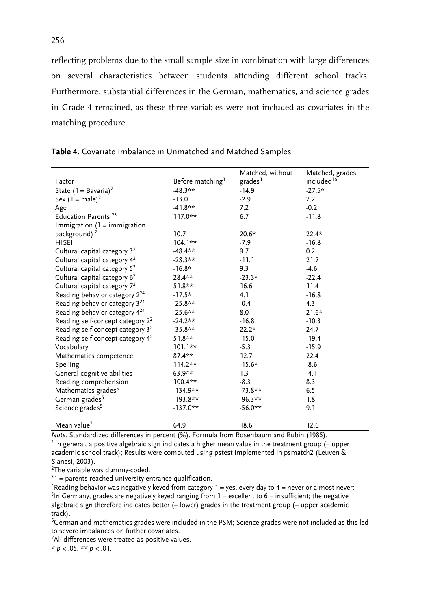reflecting problems due to the small sample size in combination with large differences on several characteristics between students attending different school tracks. Furthermore, substantial differences in the German, mathematics, and science grades in Grade 4 remained, as these three variables were not included as covariates in the matching procedure.

|                                              |                              | Matched, without    | Matched, grades        |
|----------------------------------------------|------------------------------|---------------------|------------------------|
| Factor                                       | Before matching <sup>1</sup> | grades <sup>1</sup> | included <sup>16</sup> |
| State $(1 - Bavaria)^2$                      | $-48.3**$                    | $-14.9$             | $-27.5*$               |
| Sex $(1 = male)^2$                           | $-13.0$                      | $-2.9$              | 2.2                    |
| Age                                          | $-41.8**$                    | 7.2                 | $-0.2$                 |
| Education Parents <sup>23</sup>              | $117.0**$                    | 6.7                 | $-11.8$                |
| Immigration $(1 =$ immigration               |                              |                     |                        |
| background) <sup>2</sup>                     | 10.7                         | $20.6*$             | $22.4*$                |
| <b>HISEI</b>                                 | $104.1**$                    | $-7.9$              | $-16.8$                |
| Cultural capital category 3 <sup>2</sup>     | $-48.4**$                    | 9.7                 | 0.2                    |
| Cultural capital category 4 <sup>2</sup>     | $-28.3**$                    | $-11.1$             | 21.7                   |
| Cultural capital category 5 <sup>2</sup>     | $-16.8*$                     | 9.3                 | $-4.6$                 |
| Cultural capital category 6 <sup>2</sup>     | 28.4**                       | $-23.3*$            | $-22.4$                |
| Cultural capital category 7 <sup>2</sup>     | $51.8**$                     | 16.6                | 11.4                   |
| Reading behavior category 2 <sup>24</sup>    | $-17.5*$                     | 4.1                 | $-16.8$                |
| Reading behavior category 3 <sup>24</sup>    | $-25.8**$                    | $-0.4$              | 4.3                    |
| Reading behavior category 4 <sup>24</sup>    | $-25.6***$                   | 8.0                 | $21.6*$                |
| Reading self-concept category 2 <sup>2</sup> | $-24.2**$                    | $-16.8$             | $-10.3$                |
| Reading self-concept category 3 <sup>2</sup> | $-35.8**$                    | $22.2*$             | 24.7                   |
| Reading self-concept category 4 <sup>2</sup> | $51.8**$                     | $-15.0$             | $-19.4$                |
| Vocabulary                                   | $101.1**$                    | $-5.3$              | $-15.9$                |
| Mathematics competence                       | $87.4**$                     | 12.7                | 22.4                   |
| Spelling                                     | $114.2**$                    | $-15.6*$            | $-8.6$                 |
| General cognitive abilities                  | $63.9**$                     | 1.3                 | $-4.1$                 |
| Reading comprehension                        | $100.4**$                    | $-8.3$              | 8.3                    |
| Mathematics grades <sup>5</sup>              | $-134.9**$                   | $-73.8**$           | 6.5                    |
| German grades <sup>5</sup>                   | $-193.8**$                   | $-96.3**$           | 1.8                    |
| Science grades <sup>5</sup>                  | $-137.0**$                   | $-56.0**$           | 9.1                    |
|                                              |                              |                     |                        |
| Mean value <sup>7</sup>                      | 64.9                         | 18.6                | 12.6                   |

**Table 4.** Covariate Imbalance in Unmatched and Matched Samples

*Note.* Standardized differences in percent (%). Formula from Rosenbaum and Rubin (1985).  $1$ In general, a positive algebraic sign indicates a higher mean value in the treatment group  $(=$  upper academic school track); Results were computed using pstest implemented in psmatch2 (Leuven & Sianesi, 2003).

2The variable was dummy-coded.

 $31$  = parents reached university entrance qualification.

<sup>4</sup>Reading behavior was negatively keyed from category  $1 = yes$ , every day to  $4 =$  never or almost never; <sup>5</sup>In Germany, grades are negatively keyed ranging from  $1 =$  excellent to  $6 =$  insufficient; the negative algebraic sign therefore indicates better  $(=$  lower) grades in the treatment group  $(=$  upper academic track).

 $6$ German and mathematics grades were included in the PSM; Science grades were not included as this led to severe imbalances on further covariates.

<sup>7</sup>All differences were treated as positive values.

\* *p* < .05. \*\* *p* < .01.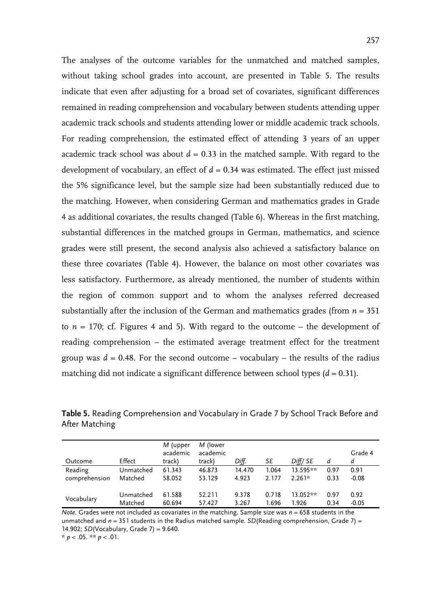The analyses of the outcome variables for the unmatched and matched samples, without taking school grades into account, are presented in Table 5. The results indicate that even after adjusting for a broad set of covariates, significant differences remained in reading comprehension and vocabulary between students attending upper academic track schools and students attending lower or middle academic track schools. For reading comprehension, the estimated effect of attending 3 years of an upper academic track school was about  $d = 0.33$  in the matched sample. With regard to the development of vocabulary, an effect of  $d = 0.34$  was estimated. The effect just missed the 5% significance level, but the sample size had been substantially reduced due to the matching. However, when considering German and mathematics grades in Grade 4 as additional covariates, the results changed (Table 6). Whereas in the first matching, substantial differences in the matched groups in German, mathematics, and science grades were still present, the second analysis also achieved a satisfactory balance on these three covariates (Table 4). However, the balance on most other covariates was less satisfactory. Furthermore, as already mentioned, the number of students within the region of common support and to whom the analyses referred decreased substantially after the inclusion of the German and mathematics grades (from  $n = 351$ ) to  $n = 170$ ; cf. Figures 4 and 5). With regard to the outcome – the development of reading comprehension – the estimated average treatment effect for the treatment group was  $d = 0.48$ . For the second outcome – vocabulary – the results of the radius matching did not indicate a significant difference between school types  $(d = 0.31)$ .

| Outcome       | Effect    | M (upper<br>academic<br>track) | M (lower<br>academic<br>track) | Diff.  | SE    | Diff/SE  | d    | Grade 4<br>d |
|---------------|-----------|--------------------------------|--------------------------------|--------|-------|----------|------|--------------|
| Reading       | Unmatched | 61.343                         | 46.873                         | 14.470 | 1.064 | 13.595** | 0.97 | 0.91         |
| comprehension | Matched   | 58.052                         | 53.129                         | 4.923  | 2.177 | $2.261*$ | 0.33 | $-0.08$      |
| Vocabulary    | Unmatched | 61.588                         | 52.211                         | 9.378  | 0.718 | 13.052** | 0.97 | 0.92         |
|               | Matched   | 60.694                         | 57.427                         | 3.267  | 1.696 | 1.926    | 0.34 | $-0.05$      |

**Table 5.** Reading Comprehension and Vocabulary in Grade 7 by School Track Before and After Matching

*Note.* Grades were not included as covariates in the matching. Sample size was  $n = 658$  students in the unmatched and  $n = 351$  students in the Radius matched sample. *SD*(Reading comprehension, Grade 7) = 14.902; *SD*(Vocabulary, Grade 7) = 9.640. \* *p* < .05. \*\* *p* < .01.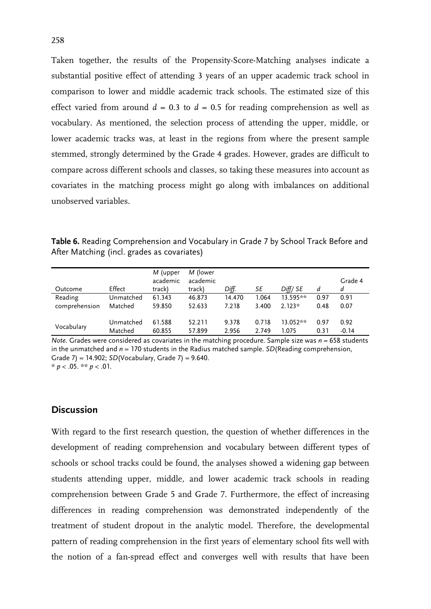Taken together, the results of the Propensity-Score-Matching analyses indicate a substantial positive effect of attending 3 years of an upper academic track school in comparison to lower and middle academic track schools. The estimated size of this effect varied from around  $d = 0.3$  to  $d = 0.5$  for reading comprehension as well as vocabulary. As mentioned, the selection process of attending the upper, middle, or lower academic tracks was, at least in the regions from where the present sample stemmed, strongly determined by the Grade 4 grades. However, grades are difficult to compare across different schools and classes, so taking these measures into account as covariates in the matching process might go along with imbalances on additional unobserved variables.

| Table 6. Reading Comprehension and Vocabulary in Grade 7 by School Track Before and |  |  |
|-------------------------------------------------------------------------------------|--|--|
| After Matching (incl. grades as covariates)                                         |  |  |

| Outcome       | Effect    | M (upper<br>academic<br>track) | M (lower<br>academic<br>track) | Diff.  | SE    | Diff/SE  | d    | Grade 4<br>d |
|---------------|-----------|--------------------------------|--------------------------------|--------|-------|----------|------|--------------|
| Reading       | Unmatched | 61.343                         | 46.873                         | 14.470 | 1.064 | 13.595** | 0.97 | 0.91         |
| comprehension | Matched   | 59.850                         | 52.633                         | 7.218  | 3.400 | $2.123*$ | 0.48 | 0.07         |
| Vocabulary    | Unmatched | 61.588                         | 52.211                         | 9.378  | 0.718 | 13.052** | 0.97 | 0.92         |
|               | Matched   | 60.855                         | 57.899                         | 2.956  | 2.749 | 1.075    | 0.31 | $-0.14$      |

*Note.* Grades were considered as covariates in the matching procedure. Sample size was  $n = 658$  students in the unmatched and *n* = 170 students in the Radius matched sample. *SD*(Reading comprehension, Grade 7) = 14.902; *SD*(Vocabulary, Grade 7) = 9.640.  $* p < .05$ . \*\*  $p < .01$ .

#### **Discussion**

With regard to the first research question, the question of whether differences in the development of reading comprehension and vocabulary between different types of schools or school tracks could be found, the analyses showed a widening gap between students attending upper, middle, and lower academic track schools in reading comprehension between Grade 5 and Grade 7. Furthermore, the effect of increasing differences in reading comprehension was demonstrated independently of the treatment of student dropout in the analytic model. Therefore, the developmental pattern of reading comprehension in the first years of elementary school fits well with the notion of a fan-spread effect and converges well with results that have been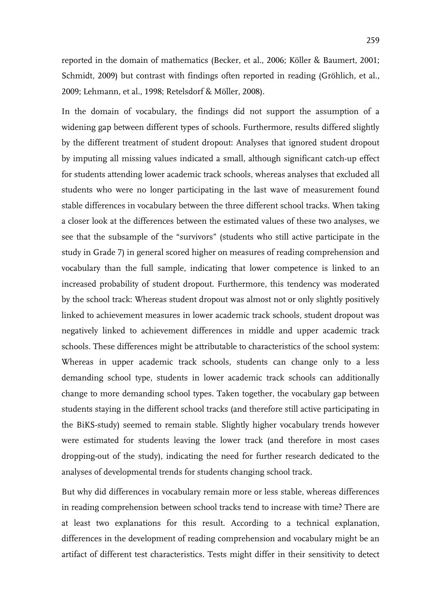reported in the domain of mathematics (Becker, et al., 2006; Köller & Baumert, 2001; Schmidt, 2009) but contrast with findings often reported in reading (Gröhlich, et al., 2009; Lehmann, et al., 1998; Retelsdorf & Möller, 2008).

In the domain of vocabulary, the findings did not support the assumption of a widening gap between different types of schools. Furthermore, results differed slightly by the different treatment of student dropout: Analyses that ignored student dropout by imputing all missing values indicated a small, although significant catch-up effect for students attending lower academic track schools, whereas analyses that excluded all students who were no longer participating in the last wave of measurement found stable differences in vocabulary between the three different school tracks. When taking a closer look at the differences between the estimated values of these two analyses, we see that the subsample of the "survivors" (students who still active participate in the study in Grade 7) in general scored higher on measures of reading comprehension and vocabulary than the full sample, indicating that lower competence is linked to an increased probability of student dropout. Furthermore, this tendency was moderated by the school track: Whereas student dropout was almost not or only slightly positively linked to achievement measures in lower academic track schools, student dropout was negatively linked to achievement differences in middle and upper academic track schools. These differences might be attributable to characteristics of the school system: Whereas in upper academic track schools, students can change only to a less demanding school type, students in lower academic track schools can additionally change to more demanding school types. Taken together, the vocabulary gap between students staying in the different school tracks (and therefore still active participating in the BiKS-study) seemed to remain stable. Slightly higher vocabulary trends however were estimated for students leaving the lower track (and therefore in most cases dropping-out of the study), indicating the need for further research dedicated to the analyses of developmental trends for students changing school track.

But why did differences in vocabulary remain more or less stable, whereas differences in reading comprehension between school tracks tend to increase with time? There are at least two explanations for this result. According to a technical explanation, differences in the development of reading comprehension and vocabulary might be an artifact of different test characteristics. Tests might differ in their sensitivity to detect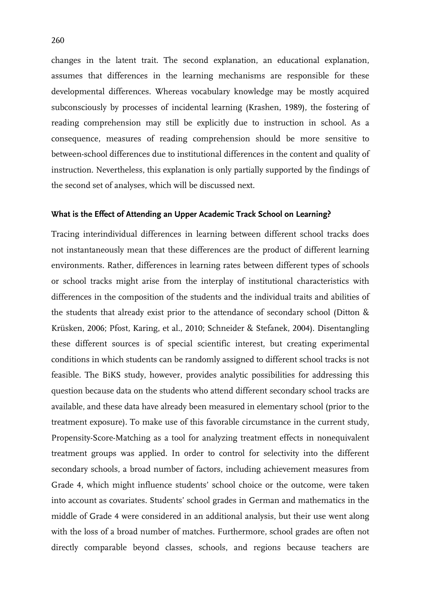changes in the latent trait. The second explanation, an educational explanation, assumes that differences in the learning mechanisms are responsible for these developmental differences. Whereas vocabulary knowledge may be mostly acquired subconsciously by processes of incidental learning (Krashen, 1989), the fostering of reading comprehension may still be explicitly due to instruction in school. As a consequence, measures of reading comprehension should be more sensitive to between-school differences due to institutional differences in the content and quality of instruction. Nevertheless, this explanation is only partially supported by the findings of the second set of analyses, which will be discussed next.

#### **What is the Effect of Attending an Upper Academic Track School on Learning?**

Tracing interindividual differences in learning between different school tracks does not instantaneously mean that these differences are the product of different learning environments. Rather, differences in learning rates between different types of schools or school tracks might arise from the interplay of institutional characteristics with differences in the composition of the students and the individual traits and abilities of the students that already exist prior to the attendance of secondary school (Ditton & Krüsken, 2006; Pfost, Karing, et al., 2010; Schneider & Stefanek, 2004). Disentangling these different sources is of special scientific interest, but creating experimental conditions in which students can be randomly assigned to different school tracks is not feasible. The BiKS study, however, provides analytic possibilities for addressing this question because data on the students who attend different secondary school tracks are available, and these data have already been measured in elementary school (prior to the treatment exposure). To make use of this favorable circumstance in the current study, Propensity-Score-Matching as a tool for analyzing treatment effects in nonequivalent treatment groups was applied. In order to control for selectivity into the different secondary schools, a broad number of factors, including achievement measures from Grade 4, which might influence students' school choice or the outcome, were taken into account as covariates. Students' school grades in German and mathematics in the middle of Grade 4 were considered in an additional analysis, but their use went along with the loss of a broad number of matches. Furthermore, school grades are often not directly comparable beyond classes, schools, and regions because teachers are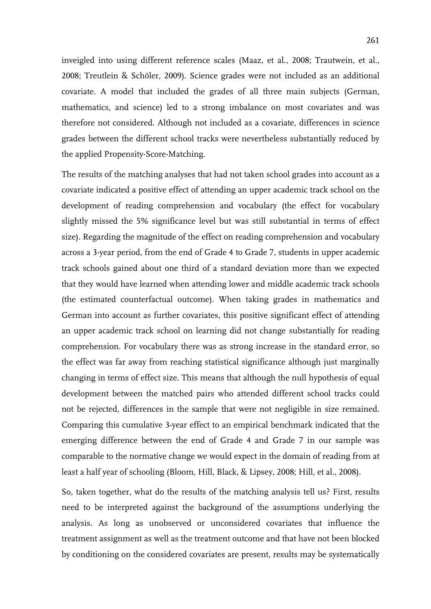inveigled into using different reference scales (Maaz, et al., 2008; Trautwein, et al., 2008; Treutlein & Schöler, 2009). Science grades were not included as an additional covariate. A model that included the grades of all three main subjects (German, mathematics, and science) led to a strong imbalance on most covariates and was therefore not considered. Although not included as a covariate, differences in science grades between the different school tracks were nevertheless substantially reduced by the applied Propensity-Score-Matching.

The results of the matching analyses that had not taken school grades into account as a covariate indicated a positive effect of attending an upper academic track school on the development of reading comprehension and vocabulary (the effect for vocabulary slightly missed the 5% significance level but was still substantial in terms of effect size). Regarding the magnitude of the effect on reading comprehension and vocabulary across a 3-year period, from the end of Grade 4 to Grade 7, students in upper academic track schools gained about one third of a standard deviation more than we expected that they would have learned when attending lower and middle academic track schools (the estimated counterfactual outcome). When taking grades in mathematics and German into account as further covariates, this positive significant effect of attending an upper academic track school on learning did not change substantially for reading comprehension. For vocabulary there was as strong increase in the standard error, so the effect was far away from reaching statistical significance although just marginally changing in terms of effect size. This means that although the null hypothesis of equal development between the matched pairs who attended different school tracks could not be rejected, differences in the sample that were not negligible in size remained. Comparing this cumulative 3-year effect to an empirical benchmark indicated that the emerging difference between the end of Grade 4 and Grade 7 in our sample was comparable to the normative change we would expect in the domain of reading from at least a half year of schooling (Bloom, Hill, Black, & Lipsey, 2008; Hill, et al., 2008).

So, taken together, what do the results of the matching analysis tell us? First, results need to be interpreted against the background of the assumptions underlying the analysis. As long as unobserved or unconsidered covariates that influence the treatment assignment as well as the treatment outcome and that have not been blocked by conditioning on the considered covariates are present, results may be systematically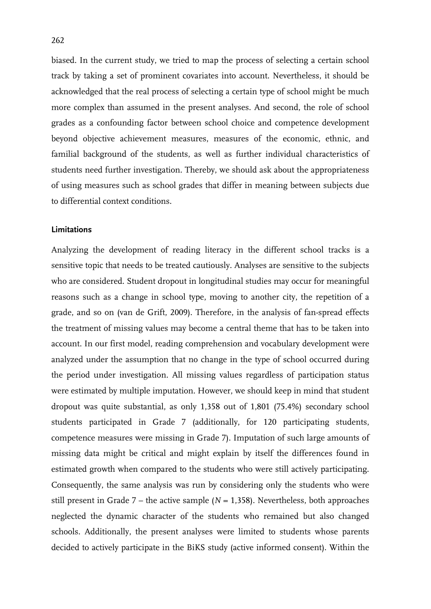biased. In the current study, we tried to map the process of selecting a certain school track by taking a set of prominent covariates into account. Nevertheless, it should be acknowledged that the real process of selecting a certain type of school might be much more complex than assumed in the present analyses. And second, the role of school grades as a confounding factor between school choice and competence development beyond objective achievement measures, measures of the economic, ethnic, and familial background of the students, as well as further individual characteristics of students need further investigation. Thereby, we should ask about the appropriateness of using measures such as school grades that differ in meaning between subjects due to differential context conditions.

#### **Limitations**

Analyzing the development of reading literacy in the different school tracks is a sensitive topic that needs to be treated cautiously. Analyses are sensitive to the subjects who are considered. Student dropout in longitudinal studies may occur for meaningful reasons such as a change in school type, moving to another city, the repetition of a grade, and so on (van de Grift, 2009). Therefore, in the analysis of fan-spread effects the treatment of missing values may become a central theme that has to be taken into account. In our first model, reading comprehension and vocabulary development were analyzed under the assumption that no change in the type of school occurred during the period under investigation. All missing values regardless of participation status were estimated by multiple imputation. However, we should keep in mind that student dropout was quite substantial, as only 1,358 out of 1,801 (75.4%) secondary school students participated in Grade 7 (additionally, for 120 participating students, competence measures were missing in Grade 7). Imputation of such large amounts of missing data might be critical and might explain by itself the differences found in estimated growth when compared to the students who were still actively participating. Consequently, the same analysis was run by considering only the students who were still present in Grade  $7$  – the active sample ( $N = 1,358$ ). Nevertheless, both approaches neglected the dynamic character of the students who remained but also changed schools. Additionally, the present analyses were limited to students whose parents decided to actively participate in the BiKS study (active informed consent). Within the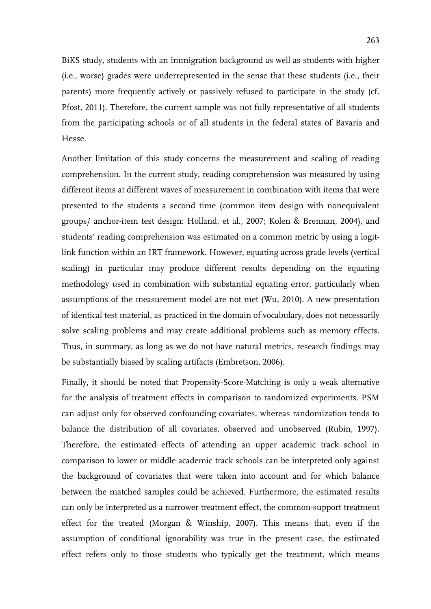BiKS study, students with an immigration background as well as students with higher (i.e., worse) grades were underrepresented in the sense that these students (i.e., their parents) more frequently actively or passively refused to participate in the study (cf. Pfost, 2011). Therefore, the current sample was not fully representative of all students from the participating schools or of all students in the federal states of Bavaria and Hesse.

Another limitation of this study concerns the measurement and scaling of reading comprehension. In the current study, reading comprehension was measured by using different items at different waves of measurement in combination with items that were presented to the students a second time (common item design with nonequivalent groups/ anchor-item test design: Holland, et al., 2007; Kolen & Brennan, 2004), and students' reading comprehension was estimated on a common metric by using a logitlink function within an IRT framework. However, equating across grade levels (vertical scaling) in particular may produce different results depending on the equating methodology used in combination with substantial equating error, particularly when assumptions of the measurement model are not met (Wu, 2010). A new presentation of identical test material, as practiced in the domain of vocabulary, does not necessarily solve scaling problems and may create additional problems such as memory effects. Thus, in summary, as long as we do not have natural metrics, research findings may be substantially biased by scaling artifacts (Embretson, 2006).

Finally, it should be noted that Propensity-Score-Matching is only a weak alternative for the analysis of treatment effects in comparison to randomized experiments. PSM can adjust only for observed confounding covariates, whereas randomization tends to balance the distribution of all covariates, observed and unobserved (Rubin, 1997). Therefore, the estimated effects of attending an upper academic track school in comparison to lower or middle academic track schools can be interpreted only against the background of covariates that were taken into account and for which balance between the matched samples could be achieved. Furthermore, the estimated results can only be interpreted as a narrower treatment effect, the common-support treatment effect for the treated (Morgan & Winship, 2007). This means that, even if the assumption of conditional ignorability was true in the present case, the estimated effect refers only to those students who typically get the treatment, which means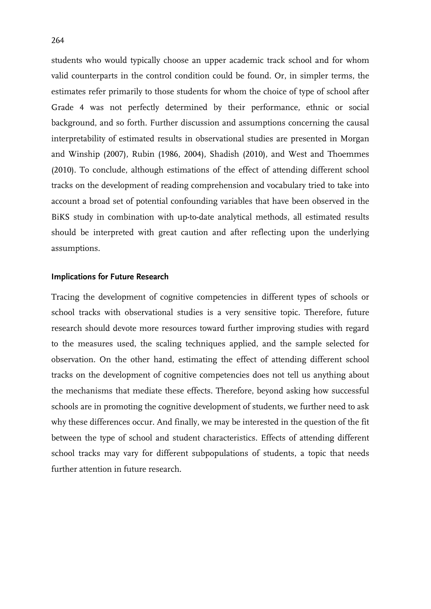students who would typically choose an upper academic track school and for whom valid counterparts in the control condition could be found. Or, in simpler terms, the estimates refer primarily to those students for whom the choice of type of school after Grade 4 was not perfectly determined by their performance, ethnic or social background, and so forth. Further discussion and assumptions concerning the causal interpretability of estimated results in observational studies are presented in Morgan and Winship (2007), Rubin (1986, 2004), Shadish (2010), and West and Thoemmes (2010). To conclude, although estimations of the effect of attending different school tracks on the development of reading comprehension and vocabulary tried to take into account a broad set of potential confounding variables that have been observed in the BiKS study in combination with up-to-date analytical methods, all estimated results should be interpreted with great caution and after reflecting upon the underlying assumptions.

#### **Implications for Future Research**

Tracing the development of cognitive competencies in different types of schools or school tracks with observational studies is a very sensitive topic. Therefore, future research should devote more resources toward further improving studies with regard to the measures used, the scaling techniques applied, and the sample selected for observation. On the other hand, estimating the effect of attending different school tracks on the development of cognitive competencies does not tell us anything about the mechanisms that mediate these effects. Therefore, beyond asking how successful schools are in promoting the cognitive development of students, we further need to ask why these differences occur. And finally, we may be interested in the question of the fit between the type of school and student characteristics. Effects of attending different school tracks may vary for different subpopulations of students, a topic that needs further attention in future research.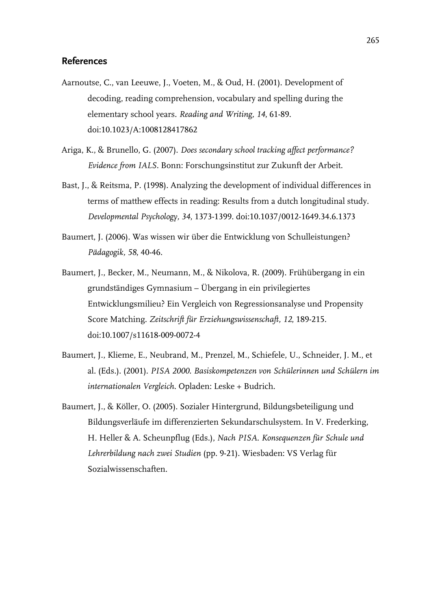#### **References**

- Aarnoutse, C., van Leeuwe, J., Voeten, M., & Oud, H. (2001). Development of decoding, reading comprehension, vocabulary and spelling during the elementary school years. *Reading and Writing, 14*, 61-89. doi:10.1023/A:1008128417862
- Ariga, K., & Brunello, G. (2007). *Does secondary school tracking affect performance? Evidence from IALS.* Bonn: Forschungsinstitut zur Zukunft der Arbeit.
- Bast, J., & Reitsma, P. (1998). Analyzing the development of individual differences in terms of matthew effects in reading: Results from a dutch longitudinal study. *Developmental Psychology, 34*, 1373-1399. doi:10.1037/0012-1649.34.6.1373
- Baumert, J. (2006). Was wissen wir über die Entwicklung von Schulleistungen? *Pädagogik, 58*, 40-46.
- Baumert, J., Becker, M., Neumann, M., & Nikolova, R. (2009). Frühübergang in ein grundständiges Gymnasium – Übergang in ein privilegiertes Entwicklungsmilieu? Ein Vergleich von Regressionsanalyse und Propensity Score Matching. *Zeitschrift für Erziehungswissenschaft, 12*, 189-215. doi:10.1007/s11618-009-0072-4
- Baumert, J., Klieme, E., Neubrand, M., Prenzel, M., Schiefele, U., Schneider, J. M., et al. (Eds.). (2001). *PISA 2000. Basiskompetenzen von Schülerinnen und Schülern im internationalen Vergleich*. Opladen: Leske + Budrich.
- Baumert, J., & Köller, O. (2005). Sozialer Hintergrund, Bildungsbeteiligung und Bildungsverläufe im differenzierten Sekundarschulsystem. In V. Frederking, H. Heller & A. Scheunpflug (Eds.), *Nach PISA. Konsequenzen für Schule und Lehrerbildung nach zwei Studien* (pp. 9-21). Wiesbaden: VS Verlag für Sozialwissenschaften.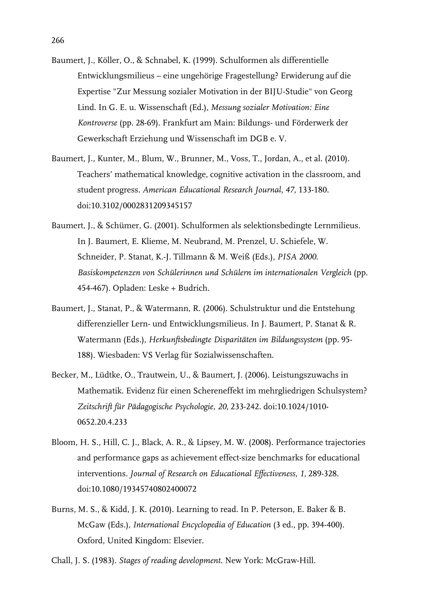- Baumert, J., Köller, O., & Schnabel, K. (1999). Schulformen als differentielle Entwicklungsmilieus – eine ungehörige Fragestellung? Erwiderung auf die Expertise "Zur Messung sozialer Motivation in der BIJU-Studie" von Georg Lind. In G. E. u. Wissenschaft (Ed.), *Messung sozialer Motivation: Eine Kontroverse* (pp. 28-69). Frankfurt am Main: Bildungs- und Förderwerk der Gewerkschaft Erziehung und Wissenschaft im DGB e. V.
- Baumert, J., Kunter, M., Blum, W., Brunner, M., Voss, T., Jordan, A., et al. (2010). Teachers' mathematical knowledge, cognitive activation in the classroom, and student progress. *American Educational Research Journal, 47*, 133-180. doi:10.3102/0002831209345157
- Baumert, J., & Schümer, G. (2001). Schulformen als selektionsbedingte Lernmilieus. In J. Baumert, E. Klieme, M. Neubrand, M. Prenzel, U. Schiefele, W. Schneider, P. Stanat, K.-J. Tillmann & M. Weiß (Eds.), *PISA 2000. Basiskompetenzen von Schülerinnen und Schülern im internationalen Vergleich* (pp. 454-467). Opladen: Leske + Budrich.
- Baumert, J., Stanat, P., & Watermann, R. (2006). Schulstruktur und die Entstehung differenzieller Lern- und Entwicklungsmilieus. In J. Baumert, P. Stanat & R. Watermann (Eds.), *Herkunftsbedingte Disparitäten im Bildungssystem* (pp. 95- 188). Wiesbaden: VS Verlag für Sozialwissenschaften.
- Becker, M., Lüdtke, O., Trautwein, U., & Baumert, J. (2006). Leistungszuwachs in Mathematik. Evidenz für einen Schereneffekt im mehrgliedrigen Schulsystem? *Zeitschrift für Pädagogische Psychologie, 20*, 233-242. doi:10.1024/1010- 0652.20.4.233
- Bloom, H. S., Hill, C. J., Black, A. R., & Lipsey, M. W. (2008). Performance trajectories and performance gaps as achievement effect-size benchmarks for educational interventions. *Journal of Research on Educational Effectiveness, 1*, 289-328. doi:10.1080/19345740802400072
- Burns, M. S., & Kidd, J. K. (2010). Learning to read. In P. Peterson, E. Baker & B. McGaw (Eds.), *International Encyclopedia of Education* (3 ed., pp. 394-400). Oxford, United Kingdom: Elsevier.
- Chall, J. S. (1983). *Stages of reading development*. New York: McGraw-Hill.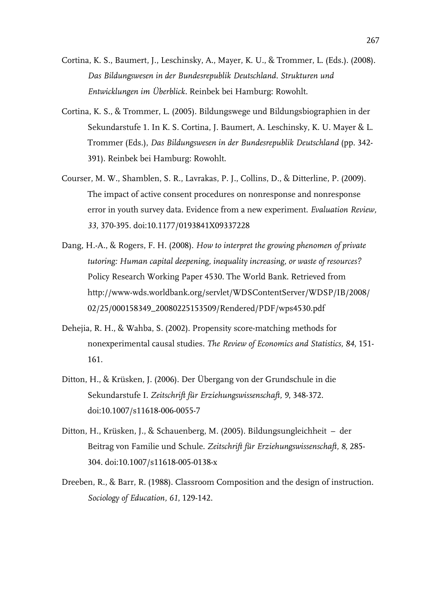- Cortina, K. S., Baumert, J., Leschinsky, A., Mayer, K. U., & Trommer, L. (Eds.). (2008). *Das Bildungswesen in der Bundesrepublik Deutschland. Strukturen und Entwicklungen im Überblick*. Reinbek bei Hamburg: Rowohlt.
- Cortina, K. S., & Trommer, L. (2005). Bildungswege und Bildungsbiographien in der Sekundarstufe 1. In K. S. Cortina, J. Baumert, A. Leschinsky, K. U. Mayer & L. Trommer (Eds.), *Das Bildungswesen in der Bundesrepublik Deutschland* (pp. 342- 391). Reinbek bei Hamburg: Rowohlt.
- Courser, M. W., Shamblen, S. R., Lavrakas, P. J., Collins, D., & Ditterline, P. (2009). The impact of active consent procedures on nonresponse and nonresponse error in youth survey data. Evidence from a new experiment. *Evaluation Review, 33*, 370-395. doi:10.1177/0193841X09337228
- Dang, H.-A., & Rogers, F. H. (2008). *How to interpret the growing phenomen of private tutoring: Human capital deepening, inequality increasing, or waste of resources?* Policy Research Working Paper 4530. The World Bank. Retrieved from http://www-wds.worldbank.org/servlet/WDSContentServer/WDSP/IB/2008/ 02/25/000158349\_20080225153509/Rendered/PDF/wps4530.pdf
- Dehejia, R. H., & Wahba, S. (2002). Propensity score-matching methods for nonexperimental causal studies. *The Review of Economics and Statistics, 84*, 151- 161.
- Ditton, H., & Krüsken, J. (2006). Der Übergang von der Grundschule in die Sekundarstufe I. *Zeitschrift für Erziehungswissenschaft, 9*, 348-372. doi:10.1007/s11618-006-0055-7
- Ditton, H., Krüsken, J., & Schauenberg, M. (2005). Bildungsungleichheit der Beitrag von Familie und Schule. *Zeitschrift für Erziehungswissenschaft, 8*, 285- 304. doi:10.1007/s11618-005-0138-x
- Dreeben, R., & Barr, R. (1988). Classroom Composition and the design of instruction. *Sociology of Education, 61*, 129-142.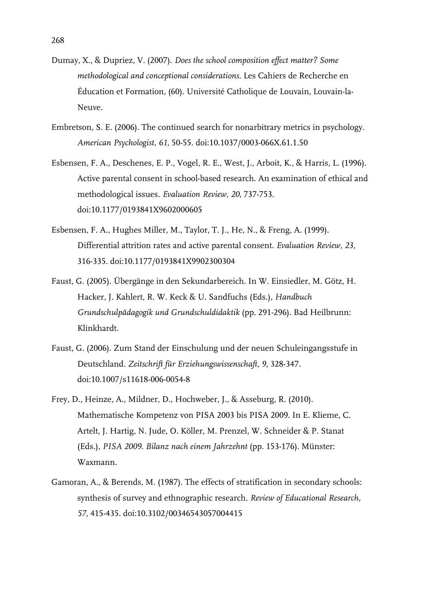- Dumay, X., & Dupriez, V. (2007). *Does the school composition effect matter? Some methodological and conceptional considerations*. Les Cahiers de Recherche en Éducation et Formation, (60). Université Catholique de Louvain, Louvain-la-Neuve.
- Embretson, S. E. (2006). The continued search for nonarbitrary metrics in psychology. *American Psychologist, 61*, 50-55. doi:10.1037/0003-066X.61.1.50
- Esbensen, F. A., Deschenes, E. P., Vogel, R. E., West, J., Arboit, K., & Harris, L. (1996). Active parental consent in school-based research. An examination of ethical and methodological issues. *Evaluation Review, 20*, 737-753. doi:10.1177/0193841X9602000605
- Esbensen, F. A., Hughes Miller, M., Taylor, T. J., He, N., & Freng, A. (1999). Differential attrition rates and active parental consent. *Evaluation Review, 23*, 316-335. doi:10.1177/0193841X9902300304
- Faust, G. (2005). Übergänge in den Sekundarbereich. In W. Einsiedler, M. Götz, H. Hacker, J. Kahlert, R. W. Keck & U. Sandfuchs (Eds.), *Handbuch Grundschulpädagogik und Grundschuldidaktik* (pp. 291-296). Bad Heilbrunn: Klinkhardt.
- Faust, G. (2006). Zum Stand der Einschulung und der neuen Schuleingangsstufe in Deutschland. *Zeitschrift für Erziehungswissenschaft, 9*, 328-347. doi:10.1007/s11618-006-0054-8
- Frey, D., Heinze, A., Mildner, D., Hochweber, J., & Asseburg, R. (2010). Mathematische Kompetenz von PISA 2003 bis PISA 2009. In E. Klieme, C. Artelt, J. Hartig, N. Jude, O. Köller, M. Prenzel, W. Schneider & P. Stanat (Eds.), *PISA 2009. Bilanz nach einem Jahrzehnt* (pp. 153-176). Münster: Waxmann.
- Gamoran, A., & Berends, M. (1987). The effects of stratification in secondary schools: synthesis of survey and ethnographic research. *Review of Educational Research, 57*, 415-435. doi:10.3102/00346543057004415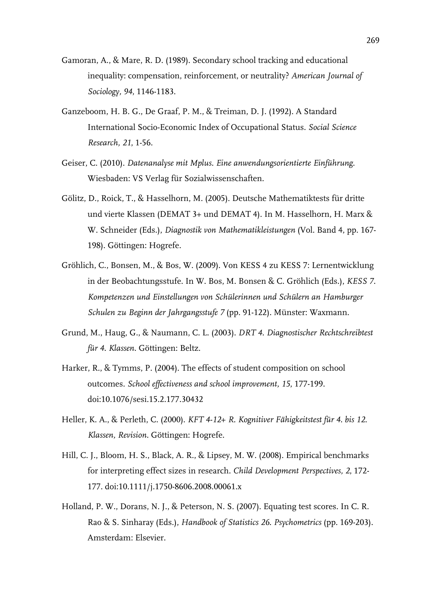- Gamoran, A., & Mare, R. D. (1989). Secondary school tracking and educational inequality: compensation, reinforcement, or neutrality? *American Journal of Sociology, 94*, 1146-1183.
- Ganzeboom, H. B. G., De Graaf, P. M., & Treiman, D. J. (1992). A Standard International Socio-Economic Index of Occupational Status. *Social Science Research, 21*, 1-56.
- Geiser, C. (2010). *Datenanalyse mit Mplus. Eine anwendungsorientierte Einführung*. Wiesbaden: VS Verlag für Sozialwissenschaften.
- Gölitz, D., Roick, T., & Hasselhorn, M. (2005). Deutsche Mathematiktests für dritte und vierte Klassen (DEMAT 3+ und DEMAT 4). In M. Hasselhorn, H. Marx & W. Schneider (Eds.), *Diagnostik von Mathematikleistungen* (Vol. Band 4, pp. 167- 198). Göttingen: Hogrefe.
- Gröhlich, C., Bonsen, M., & Bos, W. (2009). Von KESS 4 zu KESS 7: Lernentwicklung in der Beobachtungsstufe. In W. Bos, M. Bonsen & C. Gröhlich (Eds.), *KESS 7. Kompetenzen und Einstellungen von Schülerinnen und Schülern an Hamburger Schulen zu Beginn der Jahrgangsstufe 7* (pp. 91-122). Münster: Waxmann.
- Grund, M., Haug, G., & Naumann, C. L. (2003). *DRT 4. Diagnostischer Rechtschreibtest für 4. Klassen*. Göttingen: Beltz.
- Harker, R., & Tymms, P. (2004). The effects of student composition on school outcomes. *School effectiveness and school improvement, 15*, 177-199. doi:10.1076/sesi.15.2.177.30432
- Heller, K. A., & Perleth, C. (2000). *KFT 4-12+ R. Kognitiver Fähigkeitstest für 4. bis 12. Klassen, Revision*. Göttingen: Hogrefe.
- Hill, C. J., Bloom, H. S., Black, A. R., & Lipsey, M. W. (2008). Empirical benchmarks for interpreting effect sizes in research. *Child Development Perspectives, 2*, 172- 177. doi:10.1111/j.1750-8606.2008.00061.x
- Holland, P. W., Dorans, N. J., & Peterson, N. S. (2007). Equating test scores. In C. R. Rao & S. Sinharay (Eds.), *Handbook of Statistics 26. Psychometrics* (pp. 169-203). Amsterdam: Elsevier.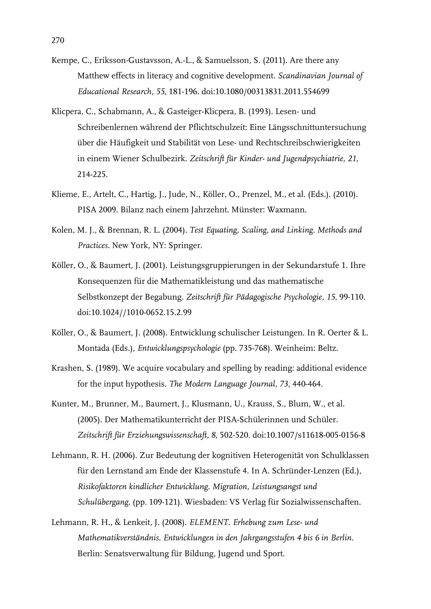- Kempe, C., Eriksson-Gustavsson, A.-L., & Samuelsson, S. (2011). Are there any Matthew effects in literacy and cognitive development. *Scandinavian Journal of Educational Research, 55*, 181-196. doi:10.1080/00313831.2011.554699
- Klicpera, C., Schabmann, A., & Gasteiger-Klicpera, B. (1993). Lesen- und Schreibenlernen während der Pflichtschulzeit: Eine Längsschnittuntersuchung über die Häufigkeit und Stabilität von Lese- und Rechtschreibschwierigkeiten in einem Wiener Schulbezirk. *Zeitschrift für Kinder- und Jugendpsychiatrie, 21*, 214-225.
- Klieme, E., Artelt, C., Hartig, J., Jude, N., Köller, O., Prenzel, M., et al. (Eds.). (2010). PISA 2009. Bilanz nach einem Jahrzehnt. Münster: Waxmann.
- Kolen, M. J., & Brennan, R. L. (2004). *Test Equating, Scaling, and Linking. Methods and Practices.* New York, NY: Springer.
- Köller, O., & Baumert, J. (2001). Leistungsgruppierungen in der Sekundarstufe 1. Ihre Konsequenzen für die Mathematikleistung und das mathematische Selbstkonzept der Begabung. *Zeitschrift für Pädagogische Psychologie, 15*, 99-110. doi:10.1024//1010-0652.15.2.99
- Köller, O., & Baumert, J. (2008). Entwicklung schulischer Leistungen. In R. Oerter & L. Montada (Eds.), *Entwicklungspsychologie* (pp. 735-768). Weinheim: Beltz.
- Krashen, S. (1989). We acquire vocabulary and spelling by reading: additional evidence for the input hypothesis. *The Modern Language Journal, 73*, 440-464.
- Kunter, M., Brunner, M., Baumert, J., Klusmann, U., Krauss, S., Blum, W., et al. (2005). Der Mathematikunterricht der PISA-Schülerinnen und Schüler. *Zeitschrift für Erziehungswissenschaft, 8*, 502-520. doi:10.1007/s11618-005-0156-8
- Lehmann, R. H. (2006). Zur Bedeutung der kognitiven Heterogenität von Schulklassen für den Lernstand am Ende der Klassenstufe 4. In A. Schründer-Lenzen (Ed.), *Risikofaktoren kindlicher Entwicklung. Migration, Leistungsangst und Schulübergang.* (pp. 109-121). Wiesbaden: VS Verlag für Sozialwissenschaften.
- Lehmann, R. H., & Lenkeit, J. (2008). *ELEMENT. Erhebung zum Lese- und Mathematikverständnis. Entwicklungen in den Jahrgangsstufen 4 bis 6 in Berlin*. Berlin: Senatsverwaltung für Bildung, Jugend und Sport.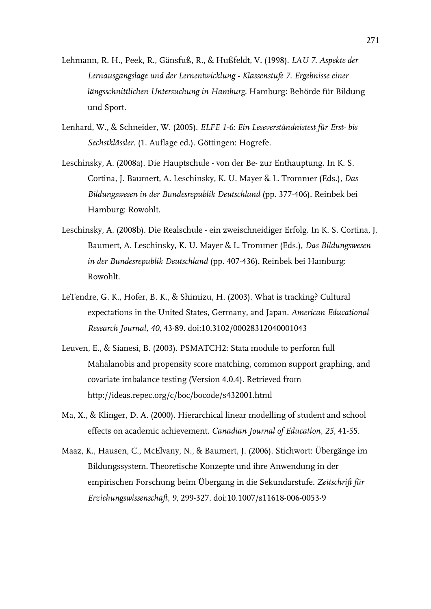- Lehmann, R. H., Peek, R., Gänsfuß, R., & Hußfeldt, V. (1998). *LAU 7. Aspekte der Lernausgangslage und der Lernentwicklung - Klassenstufe 7. Ergebnisse einer längsschnittlichen Untersuchung in Hamburg.* Hamburg: Behörde für Bildung und Sport.
- Lenhard, W., & Schneider, W. (2005). *ELFE 1-6: Ein Leseverständnistest für Erst- bis Sechstklässler.* (1. Auflage ed.). Göttingen: Hogrefe.
- Leschinsky, A. (2008a). Die Hauptschule von der Be- zur Enthauptung. In K. S. Cortina, J. Baumert, A. Leschinsky, K. U. Mayer & L. Trommer (Eds.), *Das Bildungswesen in der Bundesrepublik Deutschland* (pp. 377-406). Reinbek bei Hamburg: Rowohlt.
- Leschinsky, A. (2008b). Die Realschule ein zweischneidiger Erfolg. In K. S. Cortina, J. Baumert, A. Leschinsky, K. U. Mayer & L. Trommer (Eds.), *Das Bildungswesen in der Bundesrepublik Deutschland* (pp. 407-436). Reinbek bei Hamburg: Rowohlt.
- LeTendre, G. K., Hofer, B. K., & Shimizu, H. (2003). What is tracking? Cultural expectations in the United States, Germany, and Japan. *American Educational Research Journal, 40*, 43-89. doi:10.3102/00028312040001043
- Leuven, E., & Sianesi, B. (2003). PSMATCH2: Stata module to perform full Mahalanobis and propensity score matching, common support graphing, and covariate imbalance testing (Version 4.0.4). Retrieved from http://ideas.repec.org/c/boc/bocode/s432001.html
- Ma, X., & Klinger, D. A. (2000). Hierarchical linear modelling of student and school effects on academic achievement. *Canadian Journal of Education, 25*, 41-55.
- Maaz, K., Hausen, C., McElvany, N., & Baumert, J. (2006). Stichwort: Übergänge im Bildungssystem. Theoretische Konzepte und ihre Anwendung in der empirischen Forschung beim Übergang in die Sekundarstufe. *Zeitschrift für Erziehungswissenschaft, 9*, 299-327. doi:10.1007/s11618-006-0053-9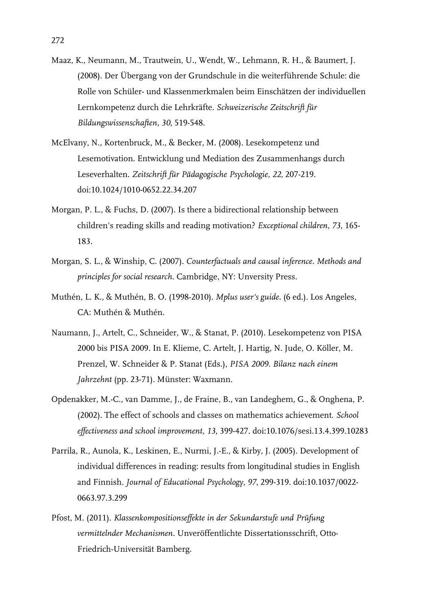- Maaz, K., Neumann, M., Trautwein, U., Wendt, W., Lehmann, R. H., & Baumert, J. (2008). Der Übergang von der Grundschule in die weiterführende Schule: die Rolle von Schüler- und Klassenmerkmalen beim Einschätzen der individuellen Lernkompetenz durch die Lehrkräfte. *Schweizerische Zeitschrift für Bildungswissenschaften, 30*, 519-548.
- McElvany, N., Kortenbruck, M., & Becker, M. (2008). Lesekompetenz und Lesemotivation. Entwicklung und Mediation des Zusammenhangs durch Leseverhalten. *Zeitschrift für Pädagogische Psychologie, 22*, 207-219. doi:10.1024/1010-0652.22.34.207
- Morgan, P. L., & Fuchs, D. (2007). Is there a bidirectional relationship between children's reading skills and reading motivation? *Exceptional children, 73*, 165- 183.
- Morgan, S. L., & Winship, C. (2007). *Counterfactuals and causal inference. Methods and principles for social research.* Cambridge, NY: Unversity Press.
- Muthén, L. K., & Muthén, B. O. (1998-2010). *Mplus user's guide.* (6 ed.). Los Angeles, CA: Muthén & Muthén.
- Naumann, J., Artelt, C., Schneider, W., & Stanat, P. (2010). Lesekompetenz von PISA 2000 bis PISA 2009. In E. Klieme, C. Artelt, J. Hartig, N. Jude, O. Köller, M. Prenzel, W. Schneider & P. Stanat (Eds.), *PISA 2009. Bilanz nach einem Jahrzehnt* (pp. 23-71). Münster: Waxmann.
- Opdenakker, M.-C., van Damme, J., de Fraine, B., van Landeghem, G., & Onghena, P. (2002). The effect of schools and classes on mathematics achievement. *School effectiveness and school improvement, 13*, 399-427. doi:10.1076/sesi.13.4.399.10283
- Parrila, R., Aunola, K., Leskinen, E., Nurmi, J.-E., & Kirby, J. (2005). Development of individual differences in reading: results from longitudinal studies in English and Finnish. *Journal of Educational Psychology, 97*, 299-319. doi:10.1037/0022- 0663.97.3.299
- Pfost, M. (2011). *Klassenkompositionseffekte in der Sekundarstufe und Prüfung vermittelnder Mechanismen.* Unveröffentlichte Dissertationsschrift, Otto-Friedrich-Universität Bamberg.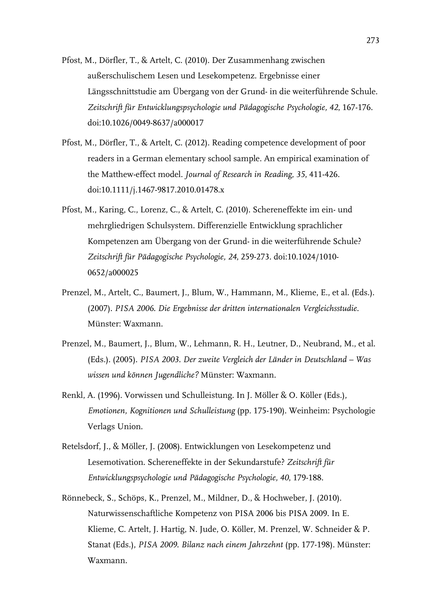- Pfost, M., Dörfler, T., & Artelt, C. (2010). Der Zusammenhang zwischen außerschulischem Lesen und Lesekompetenz. Ergebnisse einer Längsschnittstudie am Übergang von der Grund- in die weiterführende Schule. *Zeitschrift für Entwicklungspsychologie und Pädagogische Psychologie, 42*, 167-176. doi:10.1026/0049-8637/a000017
- Pfost, M., Dörfler, T., & Artelt, C. (2012). Reading competence development of poor readers in a German elementary school sample. An empirical examination of the Matthew-effect model. *Journal of Research in Reading, 35*, 411-426. doi:10.1111/j.1467-9817.2010.01478.x
- Pfost, M., Karing, C., Lorenz, C., & Artelt, C. (2010). Schereneffekte im ein- und mehrgliedrigen Schulsystem. Differenzielle Entwicklung sprachlicher Kompetenzen am Übergang von der Grund- in die weiterführende Schule? *Zeitschrift für Pädagogische Psychologie, 24*, 259-273. doi:10.1024/1010- 0652/a000025
- Prenzel, M., Artelt, C., Baumert, J., Blum, W., Hammann, M., Klieme, E., et al. (Eds.). (2007). *PISA 2006. Die Ergebnisse der dritten internationalen Vergleichsstudie*. Münster: Waxmann.
- Prenzel, M., Baumert, J., Blum, W., Lehmann, R. H., Leutner, D., Neubrand, M., et al. (Eds.). (2005). *PISA 2003. Der zweite Vergleich der Länder in Deutschland – Was wissen und können Jugendliche?* Münster: Waxmann.
- Renkl, A. (1996). Vorwissen und Schulleistung. In J. Möller & O. Köller (Eds.), *Emotionen, Kognitionen und Schulleistung* (pp. 175-190). Weinheim: Psychologie Verlags Union.
- Retelsdorf, J., & Möller, J. (2008). Entwicklungen von Lesekompetenz und Lesemotivation. Schereneffekte in der Sekundarstufe? *Zeitschrift für Entwicklungspsychologie und Pädagogische Psychologie, 40*, 179-188.
- Rönnebeck, S., Schöps, K., Prenzel, M., Mildner, D., & Hochweber, J. (2010). Naturwissenschaftliche Kompetenz von PISA 2006 bis PISA 2009. In E. Klieme, C. Artelt, J. Hartig, N. Jude, O. Köller, M. Prenzel, W. Schneider & P. Stanat (Eds.), *PISA 2009. Bilanz nach einem Jahrzehnt* (pp. 177-198). Münster: Waxmann.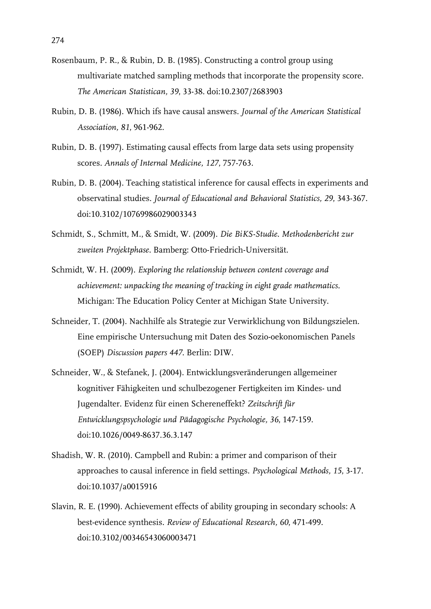- Rosenbaum, P. R., & Rubin, D. B. (1985). Constructing a control group using multivariate matched sampling methods that incorporate the propensity score. *The American Statistican, 39*, 33-38. doi:10.2307/2683903
- Rubin, D. B. (1986). Which ifs have causal answers. *Journal of the American Statistical Association, 81*, 961-962.
- Rubin, D. B. (1997). Estimating causal effects from large data sets using propensity scores. *Annals of Internal Medicine, 127*, 757-763.
- Rubin, D. B. (2004). Teaching statistical inference for causal effects in experiments and observatinal studies. *Journal of Educational and Behavioral Statistics, 29*, 343-367. doi:10.3102/10769986029003343
- Schmidt, S., Schmitt, M., & Smidt, W. (2009). *Die BiKS-Studie. Methodenbericht zur zweiten Projektphase.* Bamberg: Otto-Friedrich-Universität.
- Schmidt, W. H. (2009). *Exploring the relationship between content coverage and achievement: unpacking the meaning of tracking in eight grade mathematics.* Michigan: The Education Policy Center at Michigan State University.
- Schneider, T. (2004). Nachhilfe als Strategie zur Verwirklichung von Bildungszielen. Eine empirische Untersuchung mit Daten des Sozio-oekonomischen Panels (SOEP) *Discussion papers 447*. Berlin: DIW.
- Schneider, W., & Stefanek, J. (2004). Entwicklungsveränderungen allgemeiner kognitiver Fähigkeiten und schulbezogener Fertigkeiten im Kindes- und Jugendalter. Evidenz für einen Schereneffekt? *Zeitschrift für Entwicklungspsychologie und Pädagogische Psychologie, 36*, 147-159. doi:10.1026/0049-8637.36.3.147
- Shadish, W. R. (2010). Campbell and Rubin: a primer and comparison of their approaches to causal inference in field settings. *Psychological Methods, 15*, 3-17. doi:10.1037/a0015916
- Slavin, R. E. (1990). Achievement effects of ability grouping in secondary schools: A best-evidence synthesis. *Review of Educational Research, 60*, 471-499. doi:10.3102/00346543060003471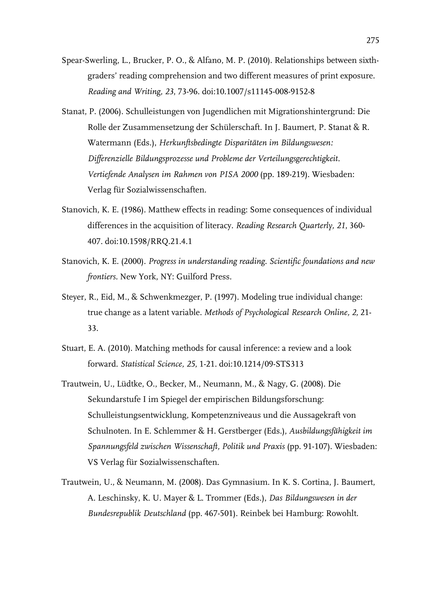- Spear-Swerling, L., Brucker, P. O., & Alfano, M. P. (2010). Relationships between sixthgraders' reading comprehension and two different measures of print exposure. *Reading and Writing, 23*, 73-96. doi:10.1007/s11145-008-9152-8
- Stanat, P. (2006). Schulleistungen von Jugendlichen mit Migrationshintergrund: Die Rolle der Zusammensetzung der Schülerschaft. In J. Baumert, P. Stanat & R. Watermann (Eds.), *Herkunftsbedingte Disparitäten im Bildungswesen: Differenzielle Bildungsprozesse und Probleme der Verteilungsgerechtigkeit. Vertiefende Analysen im Rahmen von PISA 2000* (pp. 189-219). Wiesbaden: Verlag für Sozialwissenschaften.
- Stanovich, K. E. (1986). Matthew effects in reading: Some consequences of individual differences in the acquisition of literacy. *Reading Research Quarterly, 21*, 360- 407. doi:10.1598/RRQ.21.4.1
- Stanovich, K. E. (2000). *Progress in understanding reading. Scientific foundations and new frontiers.* New York, NY: Guilford Press.
- Steyer, R., Eid, M., & Schwenkmezger, P. (1997). Modeling true individual change: true change as a latent variable. *Methods of Psychological Research Online, 2,* 21- 33.
- Stuart, E. A. (2010). Matching methods for causal inference: a review and a look forward. *Statistical Science, 25*, 1-21. doi:10.1214/09-STS313
- Trautwein, U., Lüdtke, O., Becker, M., Neumann, M., & Nagy, G. (2008). Die Sekundarstufe I im Spiegel der empirischen Bildungsforschung: Schulleistungsentwicklung, Kompetenzniveaus und die Aussagekraft von Schulnoten. In E. Schlemmer & H. Gerstberger (Eds.), *Ausbildungsfähigkeit im Spannungsfeld zwischen Wissenschaft, Politik und Praxis* (pp. 91-107). Wiesbaden: VS Verlag für Sozialwissenschaften.
- Trautwein, U., & Neumann, M. (2008). Das Gymnasium. In K. S. Cortina, J. Baumert, A. Leschinsky, K. U. Mayer & L. Trommer (Eds.), *Das Bildungswesen in der Bundesrepublik Deutschland* (pp. 467-501). Reinbek bei Hamburg: Rowohlt.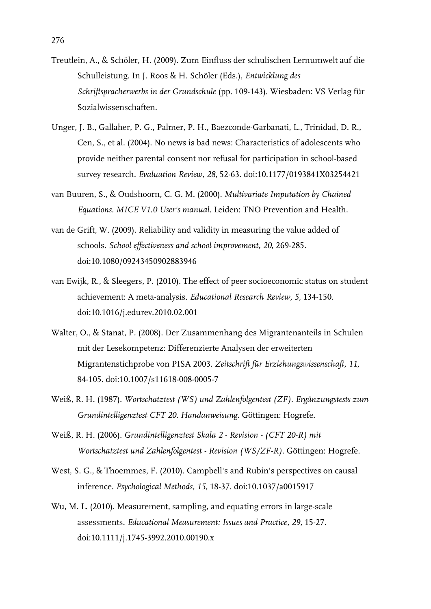- Treutlein, A., & Schöler, H. (2009). Zum Einfluss der schulischen Lernumwelt auf die Schulleistung. In J. Roos & H. Schöler (Eds.), *Entwicklung des Schriftspracherwerbs in der Grundschule* (pp. 109-143). Wiesbaden: VS Verlag für Sozialwissenschaften.
- Unger, J. B., Gallaher, P. G., Palmer, P. H., Baezconde-Garbanati, L., Trinidad, D. R., Cen, S., et al. (2004). No news is bad news: Characteristics of adolescents who provide neither parental consent nor refusal for participation in school-based survey research. *Evaluation Review, 28*, 52-63. doi:10.1177/0193841X03254421
- van Buuren, S., & Oudshoorn, C. G. M. (2000). *Multivariate Imputation by Chained Equations. MICE V1.0 User's manual.* Leiden: TNO Prevention and Health.
- van de Grift, W. (2009). Reliability and validity in measuring the value added of schools. *School effectiveness and school improvement, 20*, 269-285. doi:10.1080/09243450902883946
- van Ewijk, R., & Sleegers, P. (2010). The effect of peer socioeconomic status on student achievement: A meta-analysis. *Educational Research Review, 5*, 134-150. doi:10.1016/j.edurev.2010.02.001
- Walter, O., & Stanat, P. (2008). Der Zusammenhang des Migrantenanteils in Schulen mit der Lesekompetenz: Differenzierte Analysen der erweiterten Migrantenstichprobe von PISA 2003. *Zeitschrift für Erziehungswissenschaft, 11*, 84-105. doi:10.1007/s11618-008-0005-7
- Weiß, R. H. (1987). *Wortschatztest (WS) und Zahlenfolgentest (ZF). Ergänzungstests zum Grundintelligenztest CFT 20. Handanweisung.* Göttingen: Hogrefe.
- Weiß, R. H. (2006). *Grundintelligenztest Skala 2 Revision (CFT 20-R) mit Wortschatztest und Zahlenfolgentest - Revision (WS/ZF-R).* Göttingen: Hogrefe.
- West, S. G., & Thoemmes, F. (2010). Campbell's and Rubin's perspectives on causal inference. *Psychological Methods, 15,* 18-37. doi:10.1037/a0015917
- Wu, M. L. (2010). Measurement, sampling, and equating errors in large-scale assessments. *Educational Measurement: Issues and Practice, 29,* 15-27. doi:10.1111/j.1745-3992.2010.00190.x